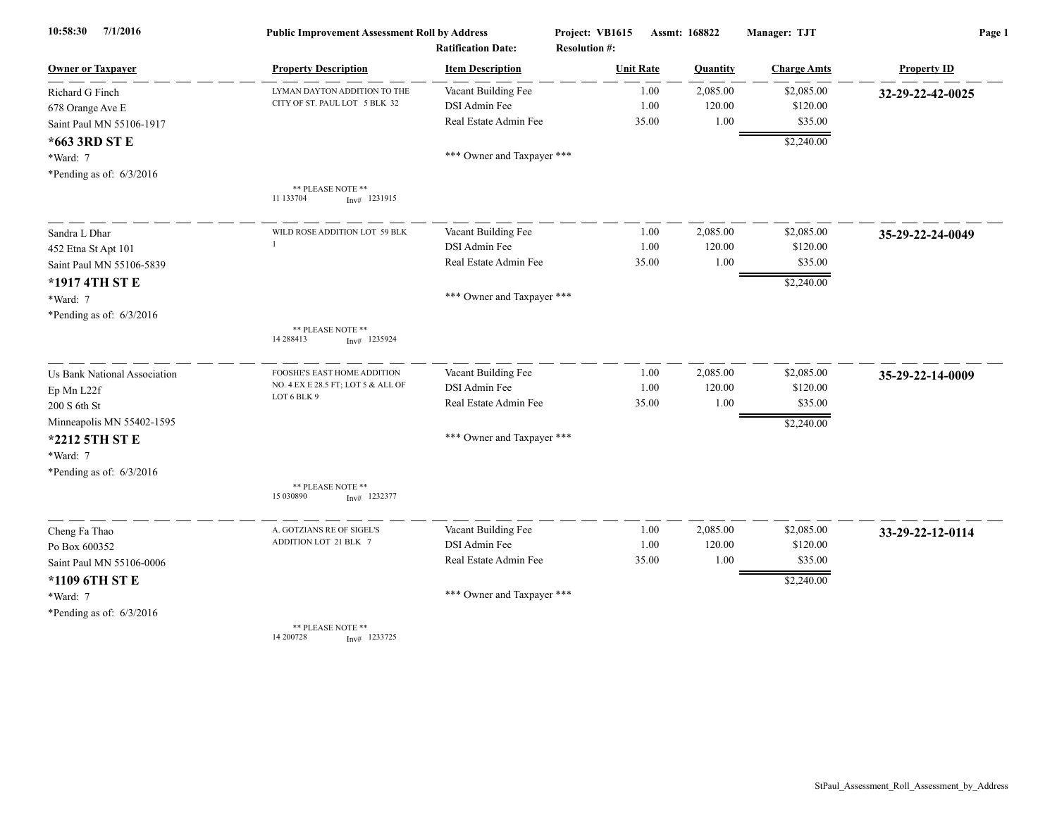| 7/1/2016<br>10:58:30         | <b>Public Improvement Assessment Roll by Address</b> |                            | Project: VB1615<br>Assmt: 168822 |          | Manager: TJT       | Page 1             |  |
|------------------------------|------------------------------------------------------|----------------------------|----------------------------------|----------|--------------------|--------------------|--|
|                              |                                                      | <b>Ratification Date:</b>  | <b>Resolution #:</b>             |          |                    |                    |  |
| <b>Owner or Taxpayer</b>     | <b>Property Description</b>                          | <b>Item Description</b>    | <b>Unit Rate</b>                 | Quantity | <b>Charge Amts</b> | <b>Property ID</b> |  |
| Richard G Finch              | LYMAN DAYTON ADDITION TO THE                         | Vacant Building Fee        | 1.00                             | 2,085.00 | \$2,085.00         | 32-29-22-42-0025   |  |
| 678 Orange Ave E             | CITY OF ST. PAUL LOT 5 BLK 32                        | DSI Admin Fee              | 1.00                             | 120.00   | \$120.00           |                    |  |
| Saint Paul MN 55106-1917     |                                                      | Real Estate Admin Fee      | 35.00                            | 1.00     | \$35.00            |                    |  |
| *663 3RD ST E                |                                                      |                            |                                  |          | \$2,240.00         |                    |  |
| *Ward: 7                     |                                                      | *** Owner and Taxpayer *** |                                  |          |                    |                    |  |
| *Pending as of: $6/3/2016$   |                                                      |                            |                                  |          |                    |                    |  |
|                              | ** PLEASE NOTE **<br>11 133704<br>$Inv#$ 1231915     |                            |                                  |          |                    |                    |  |
| Sandra L Dhar                | WILD ROSE ADDITION LOT 59 BLK                        | Vacant Building Fee        | 1.00                             | 2,085.00 | \$2,085.00         | 35-29-22-24-0049   |  |
| 452 Etna St Apt 101          | -1                                                   | DSI Admin Fee              | 1.00                             | 120.00   | \$120.00           |                    |  |
| Saint Paul MN 55106-5839     |                                                      | Real Estate Admin Fee      | 35.00                            | 1.00     | \$35.00            |                    |  |
| *1917 4TH ST E               |                                                      |                            |                                  |          | \$2,240.00         |                    |  |
| *Ward: 7                     |                                                      | *** Owner and Taxpayer *** |                                  |          |                    |                    |  |
| *Pending as of: $6/3/2016$   |                                                      |                            |                                  |          |                    |                    |  |
|                              | ** PLEASE NOTE **<br>14 288413<br>$Inv#$ 1235924     |                            |                                  |          |                    |                    |  |
| Us Bank National Association | FOOSHE'S EAST HOME ADDITION                          | Vacant Building Fee        | 1.00                             | 2,085.00 | \$2,085.00         | 35-29-22-14-0009   |  |
| Ep Mn L22f                   | NO. 4 EX E 28.5 FT; LOT 5 & ALL OF                   | DSI Admin Fee              | 1.00                             | 120.00   | \$120.00           |                    |  |
| 200 S 6th St                 | LOT 6 BLK 9                                          | Real Estate Admin Fee      | 35.00                            | 1.00     | \$35.00            |                    |  |
| Minneapolis MN 55402-1595    |                                                      |                            |                                  |          | \$2,240.00         |                    |  |
| *2212 5TH ST E               |                                                      | *** Owner and Taxpayer *** |                                  |          |                    |                    |  |
| *Ward: 7                     |                                                      |                            |                                  |          |                    |                    |  |
| *Pending as of: $6/3/2016$   |                                                      |                            |                                  |          |                    |                    |  |
|                              | ** PLEASE NOTE **<br>15 030890<br>$Inv#$ 1232377     |                            |                                  |          |                    |                    |  |
| Cheng Fa Thao                | A. GOTZIANS RE OF SIGEL'S                            | Vacant Building Fee        | 1.00                             | 2,085.00 | \$2,085.00         | 33-29-22-12-0114   |  |
| Po Box 600352                | ADDITION LOT 21 BLK 7                                | DSI Admin Fee              | 1.00                             | 120.00   | \$120.00           |                    |  |
| Saint Paul MN 55106-0006     |                                                      | Real Estate Admin Fee      | 35.00                            | 1.00     | \$35.00            |                    |  |
| *1109 6TH ST E               |                                                      |                            |                                  |          | \$2,240.00         |                    |  |
| *Ward: 7                     |                                                      | *** Owner and Taxpayer *** |                                  |          |                    |                    |  |
| *Pending as of: $6/3/2016$   |                                                      |                            |                                  |          |                    |                    |  |
|                              | ** PLEASE NOTE **<br>14 200728<br>$Inv#$ 1233725     |                            |                                  |          |                    |                    |  |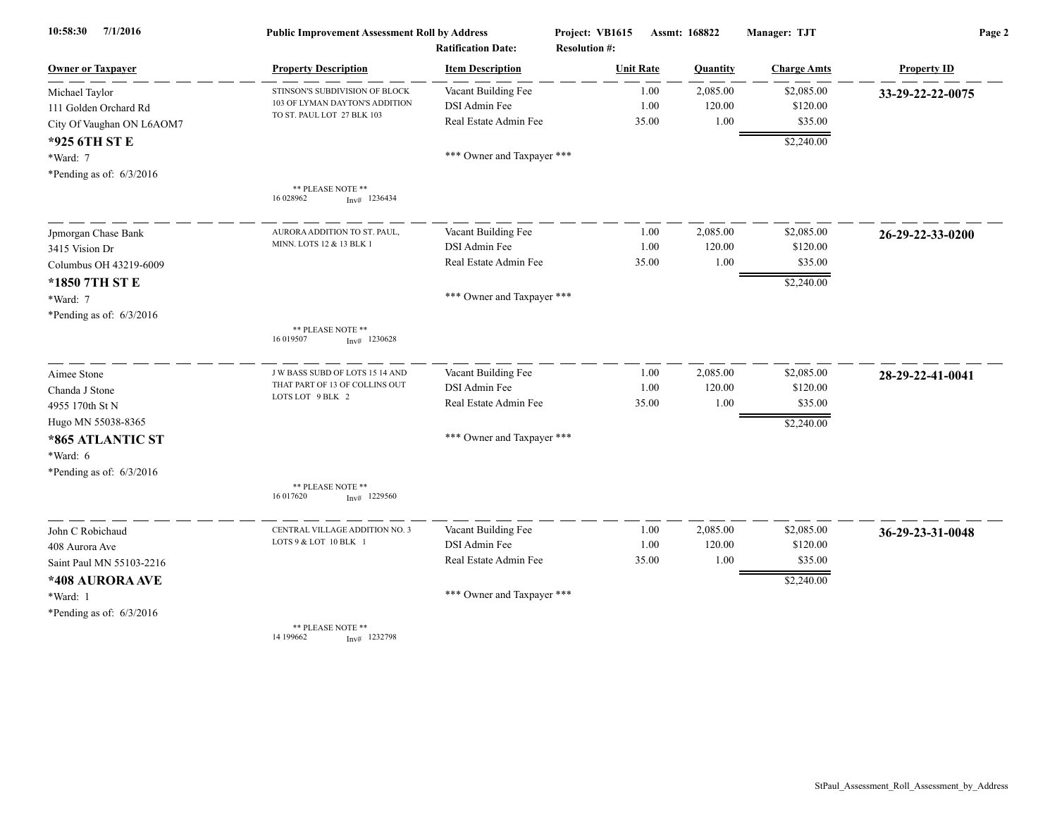| 7/1/2016<br>10:58:30       | <b>Public Improvement Assessment Roll by Address</b><br><b>Ratification Date:</b> |                            | Project: VB1615<br><b>Resolution #:</b> | Assmt: 168822 |          | Manager: TJT       | Page 2             |  |
|----------------------------|-----------------------------------------------------------------------------------|----------------------------|-----------------------------------------|---------------|----------|--------------------|--------------------|--|
| <b>Owner or Taxpayer</b>   | <b>Property Description</b>                                                       | <b>Item Description</b>    | <b>Unit Rate</b>                        |               | Quantity | <b>Charge Amts</b> | <b>Property ID</b> |  |
| Michael Taylor             | STINSON'S SUBDIVISION OF BLOCK                                                    | Vacant Building Fee        |                                         | 1.00          | 2,085.00 | \$2,085.00         | 33-29-22-22-0075   |  |
| 111 Golden Orchard Rd      | 103 OF LYMAN DAYTON'S ADDITION                                                    | DSI Admin Fee              |                                         | 1.00          | 120.00   | \$120.00           |                    |  |
| City Of Vaughan ON L6AOM7  | TO ST. PAUL LOT 27 BLK 103                                                        | Real Estate Admin Fee      | 35.00                                   |               | 1.00     | \$35.00            |                    |  |
| *925 6TH ST E              |                                                                                   |                            |                                         |               |          | \$2,240.00         |                    |  |
| *Ward: 7                   |                                                                                   | *** Owner and Taxpayer *** |                                         |               |          |                    |                    |  |
| *Pending as of: $6/3/2016$ |                                                                                   |                            |                                         |               |          |                    |                    |  |
|                            | ** PLEASE NOTE **<br>16 028962<br>$Inv#$ 1236434                                  |                            |                                         |               |          |                    |                    |  |
| Jpmorgan Chase Bank        | AURORA ADDITION TO ST. PAUL,                                                      | Vacant Building Fee        |                                         | 1.00          | 2,085.00 | \$2,085.00         | 26-29-22-33-0200   |  |
| 3415 Vision Dr             | MINN. LOTS 12 & 13 BLK 1                                                          | DSI Admin Fee              |                                         | 1.00          | 120.00   | \$120.00           |                    |  |
| Columbus OH 43219-6009     |                                                                                   | Real Estate Admin Fee      | 35.00                                   |               | 1.00     | \$35.00            |                    |  |
| *1850 7TH ST E             |                                                                                   |                            |                                         |               |          | \$2,240.00         |                    |  |
| *Ward: 7                   |                                                                                   | *** Owner and Taxpayer *** |                                         |               |          |                    |                    |  |
| *Pending as of: $6/3/2016$ |                                                                                   |                            |                                         |               |          |                    |                    |  |
|                            | ** PLEASE NOTE **<br>16 019507<br>$Inv#$ 1230628                                  |                            |                                         |               |          |                    |                    |  |
| Aimee Stone                | J W BASS SUBD OF LOTS 15 14 AND                                                   | Vacant Building Fee        |                                         | 1.00          | 2,085.00 | \$2,085.00         | 28-29-22-41-0041   |  |
| Chanda J Stone             | THAT PART OF 13 OF COLLINS OUT<br>LOTS LOT 9 BLK 2                                | DSI Admin Fee              |                                         | 1.00          | 120.00   | \$120.00           |                    |  |
| 4955 170th St N            |                                                                                   | Real Estate Admin Fee      | 35.00                                   |               | 1.00     | \$35.00            |                    |  |
| Hugo MN 55038-8365         |                                                                                   |                            |                                         |               |          | \$2,240.00         |                    |  |
| *865 ATLANTIC ST           |                                                                                   | *** Owner and Taxpayer *** |                                         |               |          |                    |                    |  |
| *Ward: 6                   |                                                                                   |                            |                                         |               |          |                    |                    |  |
| *Pending as of: $6/3/2016$ |                                                                                   |                            |                                         |               |          |                    |                    |  |
|                            | ** PLEASE NOTE **<br>16 017620<br>$Inv#$ 1229560                                  |                            |                                         |               |          |                    |                    |  |
| John C Robichaud           | CENTRAL VILLAGE ADDITION NO. 3                                                    | Vacant Building Fee        |                                         | 1.00          | 2,085.00 | \$2,085.00         | 36-29-23-31-0048   |  |
| 408 Aurora Ave             | LOTS 9 & LOT 10 BLK 1                                                             | DSI Admin Fee              |                                         | 1.00          | 120.00   | \$120.00           |                    |  |
| Saint Paul MN 55103-2216   |                                                                                   | Real Estate Admin Fee      | 35.00                                   |               | 1.00     | \$35.00            |                    |  |
| *408 AURORA AVE            |                                                                                   |                            |                                         |               |          | \$2,240.00         |                    |  |
| *Ward: 1                   |                                                                                   | *** Owner and Taxpayer *** |                                         |               |          |                    |                    |  |
| *Pending as of: $6/3/2016$ |                                                                                   |                            |                                         |               |          |                    |                    |  |
|                            | ** PLEASE NOTE **<br>14 199662<br>$Inv#$ 1232798                                  |                            |                                         |               |          |                    |                    |  |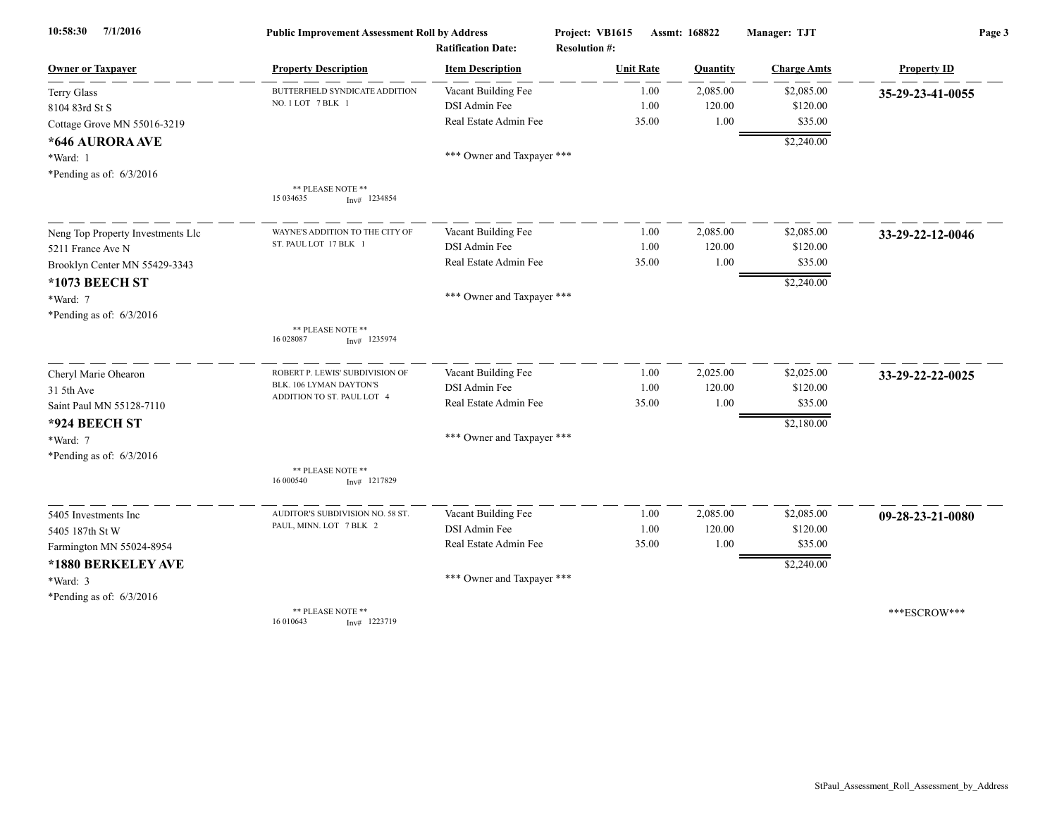| 7/1/2016<br>10:58:30              | <b>Public Improvement Assessment Roll by Address</b> |                            | Project: VB1615      | Assmt: 168822 |                    | Page 3             |  |
|-----------------------------------|------------------------------------------------------|----------------------------|----------------------|---------------|--------------------|--------------------|--|
|                                   |                                                      | <b>Ratification Date:</b>  | <b>Resolution #:</b> |               |                    |                    |  |
| <b>Owner or Taxpayer</b>          | <b>Property Description</b>                          | <b>Item Description</b>    | <b>Unit Rate</b>     | Quantity      | <b>Charge Amts</b> | <b>Property ID</b> |  |
| <b>Terry Glass</b>                | BUTTERFIELD SYNDICATE ADDITION                       | Vacant Building Fee        | 1.00                 | 2,085.00      | \$2,085.00         | 35-29-23-41-0055   |  |
| 8104 83rd St S                    | NO. 1 LOT 7 BLK 1                                    | DSI Admin Fee              | 1.00                 | 120.00        | \$120.00           |                    |  |
| Cottage Grove MN 55016-3219       |                                                      | Real Estate Admin Fee      | 35.00                | 1.00          | \$35.00            |                    |  |
| *646 AURORA AVE                   |                                                      |                            |                      |               | \$2,240.00         |                    |  |
| *Ward: 1                          |                                                      | *** Owner and Taxpayer *** |                      |               |                    |                    |  |
| *Pending as of: $6/3/2016$        |                                                      |                            |                      |               |                    |                    |  |
|                                   | ** PLEASE NOTE **<br>15 034635<br>$Inv#$ 1234854     |                            |                      |               |                    |                    |  |
| Neng Top Property Investments Llc | WAYNE'S ADDITION TO THE CITY OF                      | Vacant Building Fee        | 1.00                 | 2,085.00      | \$2,085.00         | 33-29-22-12-0046   |  |
| 5211 France Ave N                 | ST. PAUL LOT 17 BLK 1                                | DSI Admin Fee              | 1.00                 | 120.00        | \$120.00           |                    |  |
| Brooklyn Center MN 55429-3343     |                                                      | Real Estate Admin Fee      | 35.00                | 1.00          | \$35.00            |                    |  |
| *1073 BEECH ST                    |                                                      |                            |                      |               | \$2,240.00         |                    |  |
| *Ward: 7                          |                                                      | *** Owner and Taxpayer *** |                      |               |                    |                    |  |
| *Pending as of: 6/3/2016          |                                                      |                            |                      |               |                    |                    |  |
|                                   | ** PLEASE NOTE **<br>16 028087<br>$Inv#$ 1235974     |                            |                      |               |                    |                    |  |
| Cheryl Marie Ohearon              | ROBERT P. LEWIS' SUBDIVISION OF                      | Vacant Building Fee        | 1.00                 | 2,025.00      | \$2,025.00         | 33-29-22-22-0025   |  |
| 31 5th Ave                        | BLK. 106 LYMAN DAYTON'S                              | DSI Admin Fee              | 1.00                 | 120.00        | \$120.00           |                    |  |
| Saint Paul MN 55128-7110          | ADDITION TO ST. PAUL LOT 4                           | Real Estate Admin Fee      | 35.00                | 1.00          | \$35.00            |                    |  |
| *924 BEECH ST                     |                                                      |                            |                      |               | \$2,180.00         |                    |  |
| *Ward: 7                          |                                                      | *** Owner and Taxpayer *** |                      |               |                    |                    |  |
| *Pending as of: $6/3/2016$        |                                                      |                            |                      |               |                    |                    |  |
|                                   | ** PLEASE NOTE **<br>16 000540<br>$Inv#$ 1217829     |                            |                      |               |                    |                    |  |
| 5405 Investments Inc              | AUDITOR'S SUBDIVISION NO. 58 ST.                     | Vacant Building Fee        | 1.00                 | 2,085.00      | \$2,085.00         | 09-28-23-21-0080   |  |
| 5405 187th St W                   | PAUL, MINN. LOT 7 BLK 2                              | DSI Admin Fee              | 1.00                 | 120.00        | \$120.00           |                    |  |
| Farmington MN 55024-8954          |                                                      | Real Estate Admin Fee      | 35.00                | 1.00          | \$35.00            |                    |  |
| *1880 BERKELEY AVE                |                                                      |                            |                      |               | \$2,240.00         |                    |  |
| *Ward: 3                          |                                                      | *** Owner and Taxpayer *** |                      |               |                    |                    |  |
| *Pending as of: $6/3/2016$        |                                                      |                            |                      |               |                    |                    |  |
|                                   | ** PLEASE NOTE **<br>16 010643<br>$Inv#$ 1223719     |                            |                      |               |                    | ***ESCROW***       |  |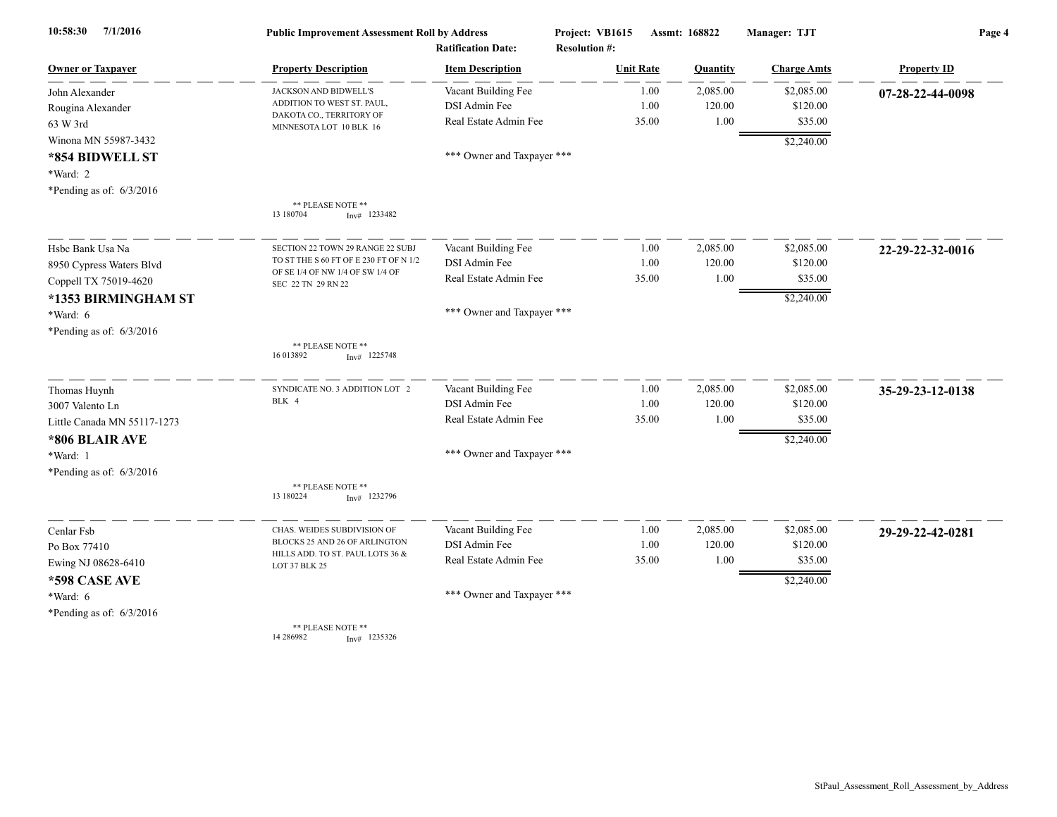| 7/1/2016<br>10:58:30        | <b>Public Improvement Assessment Roll by Address</b><br><b>Ratification Date:</b> |                            | Project: VB1615<br><b>Resolution #:</b> | Assmt: 168822 |          | Manager: TJT       | Page 4             |  |
|-----------------------------|-----------------------------------------------------------------------------------|----------------------------|-----------------------------------------|---------------|----------|--------------------|--------------------|--|
| Owner or Taxpayer           | <b>Property Description</b>                                                       | <b>Item Description</b>    | <b>Unit Rate</b>                        |               | Quantity | <b>Charge Amts</b> | <b>Property ID</b> |  |
| John Alexander              | JACKSON AND BIDWELL'S                                                             | Vacant Building Fee        |                                         | 1.00          | 2,085.00 | \$2,085.00         | 07-28-22-44-0098   |  |
| Rougina Alexander           | ADDITION TO WEST ST. PAUL,<br>DAKOTA CO., TERRITORY OF                            | DSI Admin Fee              |                                         | 1.00          | 120.00   | \$120.00           |                    |  |
| 63 W 3rd                    | MINNESOTA LOT 10 BLK 16                                                           | Real Estate Admin Fee      |                                         | 35.00         | 1.00     | \$35.00            |                    |  |
| Winona MN 55987-3432        |                                                                                   |                            |                                         |               |          | \$2,240.00         |                    |  |
| *854 BIDWELL ST             |                                                                                   | *** Owner and Taxpayer *** |                                         |               |          |                    |                    |  |
| *Ward: 2                    |                                                                                   |                            |                                         |               |          |                    |                    |  |
| *Pending as of: 6/3/2016    |                                                                                   |                            |                                         |               |          |                    |                    |  |
|                             | ** PLEASE NOTE **<br>13 180704<br>$Inv#$ 1233482                                  |                            |                                         |               |          |                    |                    |  |
| Hsbc Bank Usa Na            | SECTION 22 TOWN 29 RANGE 22 SUBJ                                                  | Vacant Building Fee        |                                         | 1.00          | 2,085.00 | \$2,085.00         | 22-29-22-32-0016   |  |
| 8950 Cypress Waters Blvd    | TO ST THE S 60 FT OF E 230 FT OF N 1/2                                            | DSI Admin Fee              |                                         | 1.00          | 120.00   | \$120.00           |                    |  |
| Coppell TX 75019-4620       | OF SE 1/4 OF NW 1/4 OF SW 1/4 OF<br>SEC 22 TN 29 RN 22                            | Real Estate Admin Fee      |                                         | 35.00         | 1.00     | \$35.00            |                    |  |
| *1353 BIRMINGHAM ST         |                                                                                   |                            |                                         |               |          | \$2,240.00         |                    |  |
| *Ward: 6                    |                                                                                   | *** Owner and Taxpayer *** |                                         |               |          |                    |                    |  |
| *Pending as of: $6/3/2016$  |                                                                                   |                            |                                         |               |          |                    |                    |  |
|                             | ** PLEASE NOTE **<br>16 013892<br>$Inv#$ 1225748                                  |                            |                                         |               |          |                    |                    |  |
| Thomas Huynh                | SYNDICATE NO. 3 ADDITION LOT 2                                                    | Vacant Building Fee        |                                         | 1.00          | 2,085.00 | \$2,085.00         | 35-29-23-12-0138   |  |
| 3007 Valento Ln             | BLK 4                                                                             | DSI Admin Fee              |                                         | 1.00          | 120.00   | \$120.00           |                    |  |
| Little Canada MN 55117-1273 |                                                                                   | Real Estate Admin Fee      |                                         | 35.00         | 1.00     | \$35.00            |                    |  |
| *806 BLAIR AVE              |                                                                                   |                            |                                         |               |          | \$2,240.00         |                    |  |
| *Ward: 1                    |                                                                                   | *** Owner and Taxpayer *** |                                         |               |          |                    |                    |  |
| *Pending as of: 6/3/2016    |                                                                                   |                            |                                         |               |          |                    |                    |  |
|                             | ** PLEASE NOTE **<br>13 180224<br>$Inv#$ 1232796                                  |                            |                                         |               |          |                    |                    |  |
| Cenlar Fsb                  | CHAS. WEIDES SUBDIVISION OF                                                       | Vacant Building Fee        |                                         | 1.00          | 2,085.00 | \$2,085.00         | 29-29-22-42-0281   |  |
| Po Box 77410                | BLOCKS 25 AND 26 OF ARLINGTON                                                     | <b>DSI</b> Admin Fee       |                                         | 1.00          | 120.00   | \$120.00           |                    |  |
| Ewing NJ 08628-6410         | HILLS ADD. TO ST. PAUL LOTS 36 &<br>LOT 37 BLK 25                                 | Real Estate Admin Fee      |                                         | 35.00         | 1.00     | \$35.00            |                    |  |
| *598 CASE AVE               |                                                                                   |                            |                                         |               |          | \$2,240.00         |                    |  |
| $*Ward: 6$                  |                                                                                   | *** Owner and Taxpayer *** |                                         |               |          |                    |                    |  |
| *Pending as of: $6/3/2016$  |                                                                                   |                            |                                         |               |          |                    |                    |  |
|                             | ** PLEASE NOTE **<br>14 28 69 82<br>$Inv#$ 1235326                                |                            |                                         |               |          |                    |                    |  |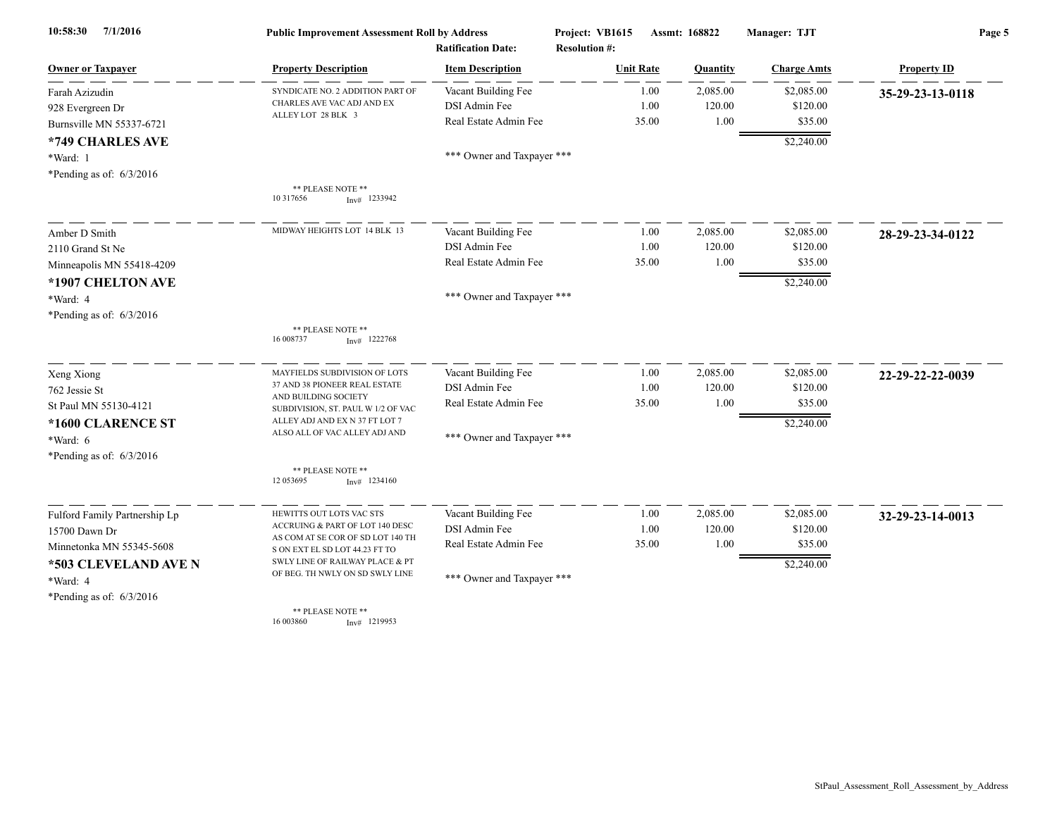| 7/1/2016<br>10:58:30          | <b>Public Improvement Assessment Roll by Address</b>                |                                                      | Project: VB1615                          | Assmt: 168822 |          | Manager: TJT       | Page 5             |  |
|-------------------------------|---------------------------------------------------------------------|------------------------------------------------------|------------------------------------------|---------------|----------|--------------------|--------------------|--|
| <b>Owner or Taxpayer</b>      | <b>Property Description</b>                                         | <b>Ratification Date:</b><br><b>Item Description</b> | <b>Resolution #:</b><br><b>Unit Rate</b> |               |          |                    | <b>Property ID</b> |  |
|                               |                                                                     |                                                      |                                          |               | Quantity | <b>Charge Amts</b> |                    |  |
| Farah Azizudin                | SYNDICATE NO. 2 ADDITION PART OF<br>CHARLES AVE VAC ADJ AND EX      | Vacant Building Fee                                  |                                          | 1.00          | 2,085.00 | \$2,085.00         | 35-29-23-13-0118   |  |
| 928 Evergreen Dr              | ALLEY LOT 28 BLK 3                                                  | DSI Admin Fee                                        |                                          | 1.00          | 120.00   | \$120.00           |                    |  |
| Burnsville MN 55337-6721      |                                                                     | Real Estate Admin Fee                                |                                          | 35.00         | 1.00     | \$35.00            |                    |  |
| *749 CHARLES AVE              |                                                                     |                                                      |                                          |               |          | \$2,240.00         |                    |  |
| *Ward: 1                      |                                                                     | *** Owner and Taxpayer ***                           |                                          |               |          |                    |                    |  |
| *Pending as of: $6/3/2016$    |                                                                     |                                                      |                                          |               |          |                    |                    |  |
|                               | ** PLEASE NOTE **<br>10 317656<br>$Inv#$ 1233942                    |                                                      |                                          |               |          |                    |                    |  |
| Amber D Smith                 | MIDWAY HEIGHTS LOT 14 BLK 13                                        | Vacant Building Fee                                  |                                          | 1.00          | 2,085.00 | \$2,085.00         | 28-29-23-34-0122   |  |
| 2110 Grand St Ne              |                                                                     | DSI Admin Fee                                        |                                          | 1.00          | 120.00   | \$120.00           |                    |  |
| Minneapolis MN 55418-4209     |                                                                     | Real Estate Admin Fee                                |                                          | 35.00         | 1.00     | \$35.00            |                    |  |
| *1907 CHELTON AVE             |                                                                     |                                                      |                                          |               |          | \$2,240.00         |                    |  |
| *Ward: 4                      |                                                                     | *** Owner and Taxpayer ***                           |                                          |               |          |                    |                    |  |
| *Pending as of: $6/3/2016$    |                                                                     |                                                      |                                          |               |          |                    |                    |  |
|                               | ** PLEASE NOTE **                                                   |                                                      |                                          |               |          |                    |                    |  |
|                               | 16 008737<br>$Inv#$ 1222768                                         |                                                      |                                          |               |          |                    |                    |  |
| Xeng Xiong                    | MAYFIELDS SUBDIVISION OF LOTS                                       | Vacant Building Fee                                  |                                          | 1.00          | 2,085.00 | \$2,085.00         | 22-29-22-22-0039   |  |
| 762 Jessie St                 | 37 AND 38 PIONEER REAL ESTATE                                       | DSI Admin Fee                                        |                                          | 1.00          | 120.00   | \$120.00           |                    |  |
| St Paul MN 55130-4121         | AND BUILDING SOCIETY<br>SUBDIVISION, ST. PAUL W 1/2 OF VAC          | Real Estate Admin Fee                                |                                          | 35.00         | 1.00     | \$35.00            |                    |  |
| *1600 CLARENCE ST             | ALLEY ADJ AND EX N 37 FT LOT 7                                      |                                                      |                                          |               |          | \$2,240.00         |                    |  |
| *Ward: 6                      | ALSO ALL OF VAC ALLEY ADJ AND                                       | *** Owner and Taxpayer ***                           |                                          |               |          |                    |                    |  |
| *Pending as of: $6/3/2016$    |                                                                     |                                                      |                                          |               |          |                    |                    |  |
|                               | ** PLEASE NOTE **                                                   |                                                      |                                          |               |          |                    |                    |  |
|                               | 12 05 3695<br>Inv# 1234160                                          |                                                      |                                          |               |          |                    |                    |  |
| Fulford Family Partnership Lp | HEWITTS OUT LOTS VAC STS                                            | Vacant Building Fee                                  |                                          | 1.00          | 2,085.00 | \$2,085.00         | 32-29-23-14-0013   |  |
| 15700 Dawn Dr                 | ACCRUING & PART OF LOT 140 DESC                                     | DSI Admin Fee                                        |                                          | 1.00          | 120.00   | \$120.00           |                    |  |
| Minnetonka MN 55345-5608      | AS COM AT SE COR OF SD LOT 140 TH<br>S ON EXT EL SD LOT 44.23 FT TO | Real Estate Admin Fee                                |                                          | 35.00         | 1.00     | \$35.00            |                    |  |
| *503 CLEVELAND AVE N          | SWLY LINE OF RAILWAY PLACE & PT                                     |                                                      |                                          |               |          | \$2,240.00         |                    |  |
| *Ward: 4                      | OF BEG. TH NWLY ON SD SWLY LINE                                     | *** Owner and Taxpayer ***                           |                                          |               |          |                    |                    |  |
| *Pending as of: $6/3/2016$    |                                                                     |                                                      |                                          |               |          |                    |                    |  |
|                               | ** PLEASE NOTE **<br>16 003860<br>$Inv#$ 1219953                    |                                                      |                                          |               |          |                    |                    |  |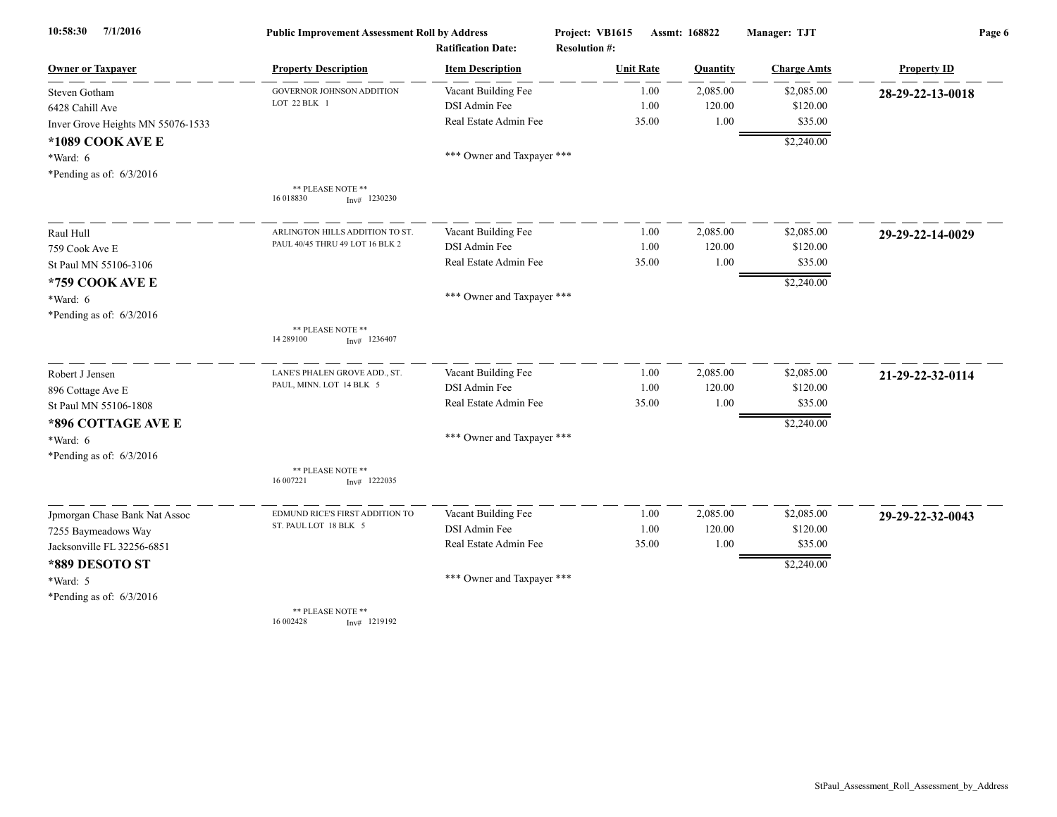| 7/1/2016<br>10:58:30              | <b>Public Improvement Assessment Roll by Address</b> |                            | Project: VB1615      | Assmt: 168822    | Manager: TJT        | Page 6             |
|-----------------------------------|------------------------------------------------------|----------------------------|----------------------|------------------|---------------------|--------------------|
|                                   | <b>Ratification Date:</b>                            |                            | <b>Resolution #:</b> |                  |                     |                    |
| <b>Owner or Taxpayer</b>          | <b>Property Description</b>                          | <b>Item Description</b>    | <b>Unit Rate</b>     | Quantity         | <b>Charge Amts</b>  | <b>Property ID</b> |
| Steven Gotham                     | <b>GOVERNOR JOHNSON ADDITION</b>                     | Vacant Building Fee        |                      | 2,085.00<br>1.00 | \$2,085.00          | 28-29-22-13-0018   |
| 6428 Cahill Ave                   | LOT 22 BLK 1                                         | DSI Admin Fee              |                      | 1.00             | 120.00<br>\$120.00  |                    |
| Inver Grove Heights MN 55076-1533 |                                                      | Real Estate Admin Fee      | 35.00                |                  | $1.00\,$<br>\$35.00 |                    |
| *1089 COOK AVE E                  |                                                      |                            |                      |                  | \$2,240.00          |                    |
| *Ward: 6                          |                                                      | *** Owner and Taxpayer *** |                      |                  |                     |                    |
| *Pending as of: $6/3/2016$        |                                                      |                            |                      |                  |                     |                    |
|                                   | ** PLEASE NOTE **<br>16 018830<br>$Inv#$ 1230230     |                            |                      |                  |                     |                    |
| Raul Hull                         | ARLINGTON HILLS ADDITION TO ST                       | Vacant Building Fee        |                      | 2,085.00<br>1.00 | \$2,085.00          | 29-29-22-14-0029   |
| 759 Cook Ave E                    | PAUL 40/45 THRU 49 LOT 16 BLK 2                      | DSI Admin Fee              |                      | 1.00             | 120.00<br>\$120.00  |                    |
| St Paul MN 55106-3106             |                                                      | Real Estate Admin Fee      | 35.00                |                  | 1.00<br>\$35.00     |                    |
| *759 COOK AVE E                   |                                                      |                            |                      |                  | \$2,240.00          |                    |
| $*Ward: 6$                        |                                                      | *** Owner and Taxpayer *** |                      |                  |                     |                    |
| *Pending as of: $6/3/2016$        |                                                      |                            |                      |                  |                     |                    |
|                                   | ** PLEASE NOTE **<br>14 289100<br>$Inv#$ 1236407     |                            |                      |                  |                     |                    |
| Robert J Jensen                   | LANE'S PHALEN GROVE ADD., ST.                        | Vacant Building Fee        |                      | 2,085.00<br>1.00 | \$2,085.00          | 21-29-22-32-0114   |
| 896 Cottage Ave E                 | PAUL, MINN. LOT 14 BLK 5                             | DSI Admin Fee              |                      | 1.00             | 120.00<br>\$120.00  |                    |
| St Paul MN 55106-1808             |                                                      | Real Estate Admin Fee      | 35.00                |                  | 1.00<br>\$35.00     |                    |
| *896 COTTAGE AVE E                |                                                      |                            |                      |                  | \$2,240.00          |                    |
| *Ward: 6                          |                                                      | *** Owner and Taxpayer *** |                      |                  |                     |                    |
| *Pending as of: $6/3/2016$        |                                                      |                            |                      |                  |                     |                    |
|                                   | ** PLEASE NOTE **<br>16 007221<br>$Inv#$ 1222035     |                            |                      |                  |                     |                    |
| Jpmorgan Chase Bank Nat Assoc     | EDMUND RICE'S FIRST ADDITION TO                      | Vacant Building Fee        |                      | 2,085.00<br>1.00 | \$2,085.00          | 29-29-22-32-0043   |
| 7255 Baymeadows Way               | ST. PAUL LOT 18 BLK 5                                | DSI Admin Fee              |                      | 1.00             | 120.00<br>\$120.00  |                    |
| Jacksonville FL 32256-6851        |                                                      | Real Estate Admin Fee      | 35.00                |                  | 1.00<br>\$35.00     |                    |
| *889 DESOTO ST                    |                                                      |                            |                      |                  | \$2,240.00          |                    |
| *Ward: 5                          |                                                      | *** Owner and Taxpayer *** |                      |                  |                     |                    |
| *Pending as of: $6/3/2016$        |                                                      |                            |                      |                  |                     |                    |
|                                   | ** PLEASE NOTE **<br>16 002428<br>Inv# 1219192       |                            |                      |                  |                     |                    |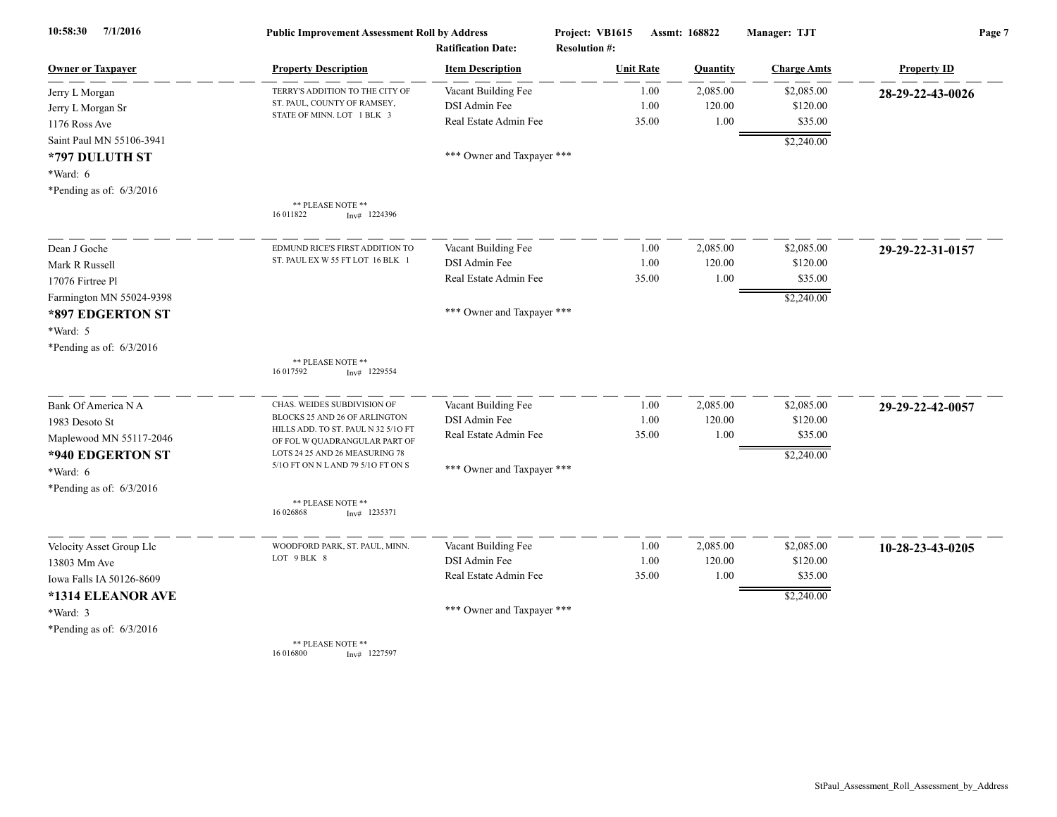| 10:58:30<br>7/1/2016                                                                                                           | <b>Public Improvement Assessment Roll by Address</b><br><b>Ratification Date:</b>                                                                                                                            |                                                                                             | Project: VB1615<br><b>Resolution #:</b> | Assmt: 168822              | Manager: TJT                                    | Page 7             |  |
|--------------------------------------------------------------------------------------------------------------------------------|--------------------------------------------------------------------------------------------------------------------------------------------------------------------------------------------------------------|---------------------------------------------------------------------------------------------|-----------------------------------------|----------------------------|-------------------------------------------------|--------------------|--|
| <b>Owner or Taxpayer</b>                                                                                                       | <b>Property Description</b>                                                                                                                                                                                  | <b>Item Description</b>                                                                     | <b>Unit Rate</b>                        | Quantity                   | <b>Charge Amts</b>                              | <b>Property ID</b> |  |
| Jerry L Morgan<br>Jerry L Morgan Sr<br>1176 Ross Ave                                                                           | TERRY'S ADDITION TO THE CITY OF<br>ST. PAUL, COUNTY OF RAMSEY,<br>STATE OF MINN. LOT 1 BLK 3                                                                                                                 | Vacant Building Fee<br>DSI Admin Fee<br>Real Estate Admin Fee                               | 1.00<br>1.00<br>35.00                   | 2,085.00<br>120.00<br>1.00 | \$2,085.00<br>\$120.00<br>\$35.00               | 28-29-22-43-0026   |  |
| Saint Paul MN 55106-3941<br>*797 DULUTH ST<br>*Ward: 6<br>*Pending as of: $6/3/2016$                                           |                                                                                                                                                                                                              | *** Owner and Taxpayer ***                                                                  |                                         |                            | \$2,240.00                                      |                    |  |
|                                                                                                                                | ** PLEASE NOTE **<br>16 011822<br>$Inv#$ 1224396                                                                                                                                                             |                                                                                             |                                         |                            |                                                 |                    |  |
| Dean J Goche<br>Mark R Russell<br>17076 Firtree Pl<br>Farmington MN 55024-9398                                                 | EDMUND RICE'S FIRST ADDITION TO<br>ST. PAUL EX W 55 FT LOT 16 BLK 1                                                                                                                                          | Vacant Building Fee<br>DSI Admin Fee<br>Real Estate Admin Fee                               | 1.00<br>1.00<br>35.00                   | 2,085.00<br>120.00<br>1.00 | \$2,085.00<br>\$120.00<br>\$35.00<br>\$2,240.00 | 29-29-22-31-0157   |  |
| *897 EDGERTON ST<br>*Ward: 5<br>*Pending as of: $6/3/2016$                                                                     | ** PLEASE NOTE **<br>16 017592<br>$Inv#$ 1229554                                                                                                                                                             | *** Owner and Taxpayer ***                                                                  |                                         |                            |                                                 |                    |  |
| Bank Of America N A<br>1983 Desoto St<br>Maplewood MN 55117-2046<br>*940 EDGERTON ST<br>*Ward: 6<br>*Pending as of: $6/3/2016$ | CHAS. WEIDES SUBDIVISION OF<br>BLOCKS 25 AND 26 OF ARLINGTON<br>HILLS ADD. TO ST. PAUL N 32 5/10 FT<br>OF FOL W QUADRANGULAR PART OF<br>LOTS 24 25 AND 26 MEASURING 78<br>5/10 FT ON N L AND 79 5/10 FT ON S | Vacant Building Fee<br>DSI Admin Fee<br>Real Estate Admin Fee<br>*** Owner and Taxpayer *** | 1.00<br>1.00<br>35.00                   | 2,085.00<br>120.00<br>1.00 | \$2,085.00<br>\$120.00<br>\$35.00<br>\$2,240.00 | 29-29-22-42-0057   |  |
|                                                                                                                                | ** PLEASE NOTE **<br>16 026868<br>$Inv#$ 1235371                                                                                                                                                             |                                                                                             |                                         |                            |                                                 |                    |  |
| Velocity Asset Group Llc<br>13803 Mm Ave<br>Iowa Falls IA 50126-8609<br>*1314 ELEANOR AVE                                      | WOODFORD PARK, ST. PAUL, MINN.<br>LOT 9 BLK 8                                                                                                                                                                | Vacant Building Fee<br>DSI Admin Fee<br>Real Estate Admin Fee                               | 1.00<br>1.00<br>35.00                   | 2,085.00<br>120.00<br>1.00 | \$2,085.00<br>\$120.00<br>\$35.00<br>\$2,240.00 | 10-28-23-43-0205   |  |
| *Ward: 3<br>*Pending as of: $6/3/2016$                                                                                         | <b>** DI EACE MOTE **</b>                                                                                                                                                                                    | *** Owner and Taxpayer ***                                                                  |                                         |                            |                                                 |                    |  |

\*\* PLEASE NOTE<br>16 016800 Inv 16 016800 Inv# 1227597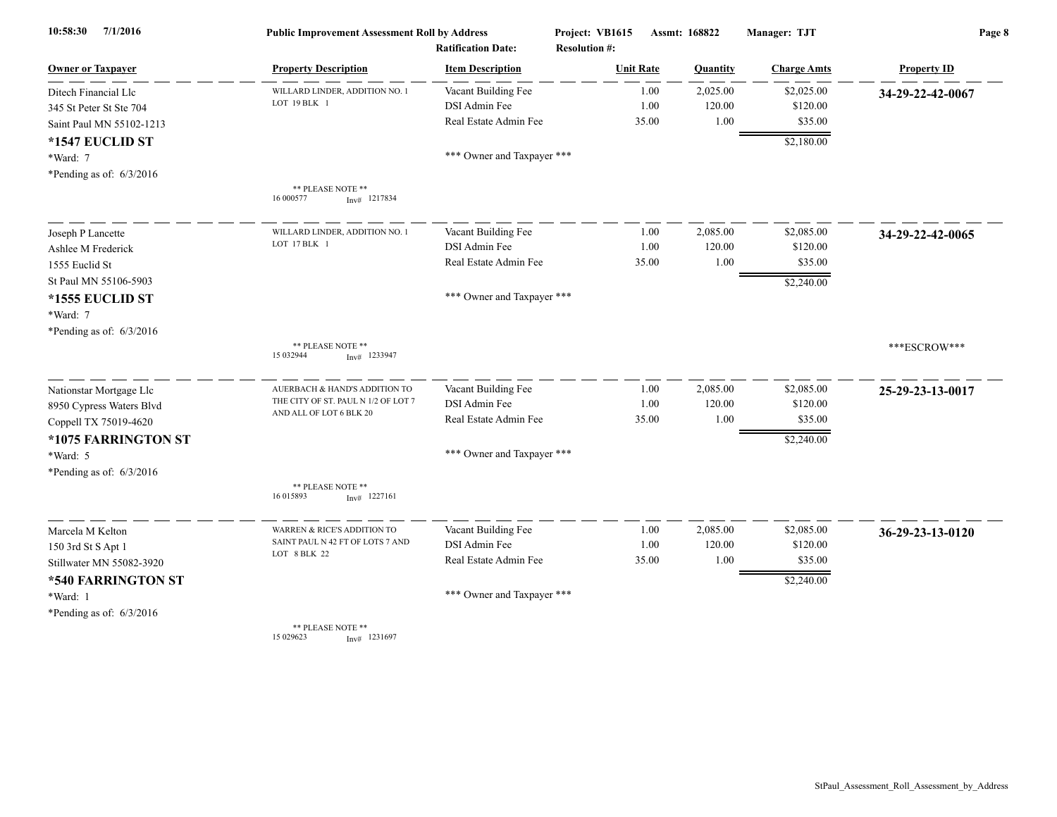| 7/1/2016<br>10:58:30       | <b>Public Improvement Assessment Roll by Address</b><br><b>Ratification Date:</b> |                            | Project: VB1615<br><b>Resolution #:</b> | Assmt: 168822 |          | Manager: TJT       | Page 8             |  |
|----------------------------|-----------------------------------------------------------------------------------|----------------------------|-----------------------------------------|---------------|----------|--------------------|--------------------|--|
| <b>Owner or Taxpayer</b>   | <b>Property Description</b>                                                       | <b>Item Description</b>    | <b>Unit Rate</b>                        |               | Quantity | <b>Charge Amts</b> | <b>Property ID</b> |  |
| Ditech Financial Llc       | WILLARD LINDER, ADDITION NO.                                                      | Vacant Building Fee        |                                         | 1.00          | 2,025.00 | \$2,025.00         | 34-29-22-42-0067   |  |
| 345 St Peter St Ste 704    | LOT 19 BLK 1                                                                      | DSI Admin Fee              |                                         | 1.00          | 120.00   | \$120.00           |                    |  |
| Saint Paul MN 55102-1213   |                                                                                   | Real Estate Admin Fee      |                                         | 35.00         | 1.00     | \$35.00            |                    |  |
| *1547 EUCLID ST            |                                                                                   |                            |                                         |               |          | \$2,180.00         |                    |  |
| *Ward: 7                   |                                                                                   | *** Owner and Taxpayer *** |                                         |               |          |                    |                    |  |
| *Pending as of: $6/3/2016$ |                                                                                   |                            |                                         |               |          |                    |                    |  |
|                            | ** PLEASE NOTE **<br>16 000577<br>$Inv#$ 1217834                                  |                            |                                         |               |          |                    |                    |  |
| Joseph P Lancette          | WILLARD LINDER, ADDITION NO.                                                      | Vacant Building Fee        |                                         | 1.00          | 2,085.00 | \$2,085.00         | 34-29-22-42-0065   |  |
| Ashlee M Frederick         | LOT 17 BLK 1                                                                      | DSI Admin Fee              |                                         | 1.00          | 120.00   | \$120.00           |                    |  |
| 1555 Euclid St             |                                                                                   | Real Estate Admin Fee      |                                         | 35.00         | 1.00     | \$35.00            |                    |  |
| St Paul MN 55106-5903      |                                                                                   |                            |                                         |               |          | \$2,240.00         |                    |  |
| *1555 EUCLID ST            |                                                                                   | *** Owner and Taxpayer *** |                                         |               |          |                    |                    |  |
| *Ward: 7                   |                                                                                   |                            |                                         |               |          |                    |                    |  |
| *Pending as of: $6/3/2016$ |                                                                                   |                            |                                         |               |          |                    |                    |  |
|                            | ** PLEASE NOTE **<br>15 032944<br>$Inv#$ 1233947                                  |                            |                                         |               |          |                    | ***ESCROW***       |  |
| Nationstar Mortgage Llc    | AUERBACH & HAND'S ADDITION TO                                                     | Vacant Building Fee        |                                         | 1.00          | 2,085.00 | \$2,085.00         | 25-29-23-13-0017   |  |
| 8950 Cypress Waters Blvd   | THE CITY OF ST. PAUL N 1/2 OF LOT 7<br>AND ALL OF LOT 6 BLK 20                    | DSI Admin Fee              |                                         | 1.00          | 120.00   | \$120.00           |                    |  |
| Coppell TX 75019-4620      |                                                                                   | Real Estate Admin Fee      |                                         | 35.00         | 1.00     | \$35.00            |                    |  |
| *1075 FARRINGTON ST        |                                                                                   |                            |                                         |               |          | \$2,240.00         |                    |  |
| *Ward: 5                   |                                                                                   | *** Owner and Taxpayer *** |                                         |               |          |                    |                    |  |
| *Pending as of: $6/3/2016$ |                                                                                   |                            |                                         |               |          |                    |                    |  |
|                            | ** PLEASE NOTE **<br>16 015893<br>$Inv#$ 1227161                                  |                            |                                         |               |          |                    |                    |  |
| Marcela M Kelton           | WARREN & RICE'S ADDITION TO                                                       | Vacant Building Fee        |                                         | 1.00          | 2,085.00 | \$2,085.00         | 36-29-23-13-0120   |  |
| 150 3rd St S Apt 1         | SAINT PAUL N 42 FT OF LOTS 7 AND                                                  | DSI Admin Fee              |                                         | 1.00          | 120.00   | \$120.00           |                    |  |
| Stillwater MN 55082-3920   | LOT 8 BLK 22                                                                      | Real Estate Admin Fee      |                                         | 35.00         | 1.00     | \$35.00            |                    |  |
| *540 FARRINGTON ST         |                                                                                   |                            |                                         |               |          | \$2,240.00         |                    |  |
| *Ward: 1                   |                                                                                   | *** Owner and Taxpayer *** |                                         |               |          |                    |                    |  |
| *Pending as of: $6/3/2016$ |                                                                                   |                            |                                         |               |          |                    |                    |  |
|                            | ** PLEASE NOTE **<br>15 029623<br>$Inv#$ 1231697                                  |                            |                                         |               |          |                    |                    |  |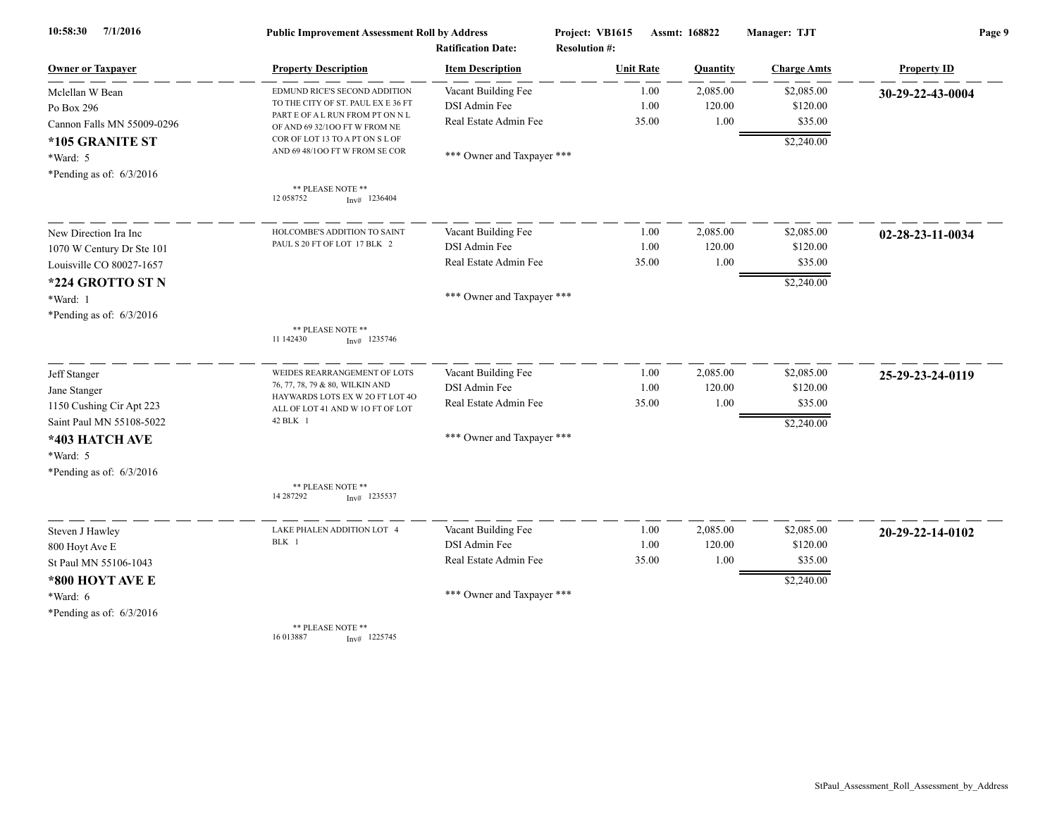| 7/1/2016<br>10:58:30                                                                 | <b>Public Improvement Assessment Roll by Address</b><br><b>Ratification Date:</b>                                                        |                                                               | Project: VB1615<br><b>Resolution #:</b> | Assmt: 168822         |                            | Manager: TJT                      | Page 9             |  |
|--------------------------------------------------------------------------------------|------------------------------------------------------------------------------------------------------------------------------------------|---------------------------------------------------------------|-----------------------------------------|-----------------------|----------------------------|-----------------------------------|--------------------|--|
| <b>Owner or Taxpayer</b>                                                             | <b>Property Description</b>                                                                                                              | <b>Item Description</b>                                       | <b>Unit Rate</b>                        |                       | Quantity                   | <b>Charge Amts</b>                | <b>Property ID</b> |  |
| Mclellan W Bean<br>Po Box 296<br>Cannon Falls MN 55009-0296                          | EDMUND RICE'S SECOND ADDITION<br>TO THE CITY OF ST. PAUL EX E 36 FT<br>PART E OF A L RUN FROM PT ON N L<br>OF AND 69 32/100 FT W FROM NE | Vacant Building Fee<br>DSI Admin Fee<br>Real Estate Admin Fee |                                         | 1.00<br>1.00<br>35.00 | 2,085.00<br>120.00<br>1.00 | \$2,085.00<br>\$120.00<br>\$35.00 | 30-29-22-43-0004   |  |
| *105 GRANITE ST<br>*Ward: 5<br>*Pending as of: $6/3/2016$                            | COR OF LOT 13 TO A PT ON S L OF<br>AND 69 48/100 FT W FROM SE COR                                                                        | *** Owner and Taxpayer ***                                    |                                         |                       |                            | \$2,240.00                        |                    |  |
|                                                                                      | ** PLEASE NOTE **<br>12 05 8752<br>$Inv#$ 1236404                                                                                        |                                                               |                                         |                       |                            |                                   |                    |  |
| New Direction Ira Inc                                                                | HOLCOMBE'S ADDITION TO SAINT<br>PAUL S 20 FT OF LOT 17 BLK 2                                                                             | Vacant Building Fee                                           |                                         | 1.00                  | 2,085.00                   | \$2,085.00                        | 02-28-23-11-0034   |  |
| 1070 W Century Dr Ste 101                                                            |                                                                                                                                          | DSI Admin Fee                                                 |                                         | 1.00                  | 120.00                     | \$120.00                          |                    |  |
| Louisville CO 80027-1657                                                             |                                                                                                                                          | Real Estate Admin Fee                                         |                                         | 35.00                 | 1.00                       | \$35.00                           |                    |  |
| *224 GROTTO ST N<br>*Ward: 1<br>*Pending as of: $6/3/2016$                           |                                                                                                                                          | *** Owner and Taxpayer ***                                    |                                         |                       |                            | \$2,240.00                        |                    |  |
|                                                                                      | ** PLEASE NOTE **<br>11 142430<br>$Inv#$ 1235746                                                                                         |                                                               |                                         |                       |                            |                                   |                    |  |
| Jeff Stanger                                                                         | WEIDES REARRANGEMENT OF LOTS                                                                                                             | Vacant Building Fee                                           |                                         | 1.00                  | 2,085.00                   | \$2,085.00                        | 25-29-23-24-0119   |  |
| Jane Stanger                                                                         | 76, 77, 78, 79 & 80, WILKIN AND<br>HAYWARDS LOTS EX W 20 FT LOT 40                                                                       | DSI Admin Fee                                                 |                                         | 1.00                  | 120.00                     | \$120.00                          |                    |  |
| 1150 Cushing Cir Apt 223                                                             | ALL OF LOT 41 AND W 10 FT OF LOT                                                                                                         | Real Estate Admin Fee                                         |                                         | 35.00                 | 1.00                       | \$35.00                           |                    |  |
| Saint Paul MN 55108-5022<br>*403 HATCH AVE<br>*Ward: 5<br>*Pending as of: $6/3/2016$ | 42 BLK 1                                                                                                                                 | *** Owner and Taxpayer ***                                    |                                         |                       |                            | \$2,240.00                        |                    |  |
|                                                                                      | ** PLEASE NOTE **<br>14 287292<br>$Inv#$ 1235537                                                                                         |                                                               |                                         |                       |                            |                                   |                    |  |
| Steven J Hawley                                                                      | LAKE PHALEN ADDITION LOT 4                                                                                                               | Vacant Building Fee                                           |                                         | 1.00                  | 2,085.00                   | \$2,085.00                        | 20-29-22-14-0102   |  |
| 800 Hoyt Ave E                                                                       | BLK 1                                                                                                                                    | DSI Admin Fee                                                 |                                         | 1.00                  | 120.00                     | \$120.00                          |                    |  |
| St Paul MN 55106-1043                                                                |                                                                                                                                          | Real Estate Admin Fee                                         |                                         | 35.00                 | 1.00                       | \$35.00                           |                    |  |
| *800 HOYT AVE E                                                                      |                                                                                                                                          |                                                               |                                         |                       |                            | \$2,240.00                        |                    |  |
| $*Ward: 6$                                                                           |                                                                                                                                          | *** Owner and Taxpayer ***                                    |                                         |                       |                            |                                   |                    |  |
| *Pending as of: $6/3/2016$                                                           |                                                                                                                                          |                                                               |                                         |                       |                            |                                   |                    |  |
|                                                                                      | ** PLEASE NOTE **<br>16 013887<br>$Inv#$ 1225745                                                                                         |                                                               |                                         |                       |                            |                                   |                    |  |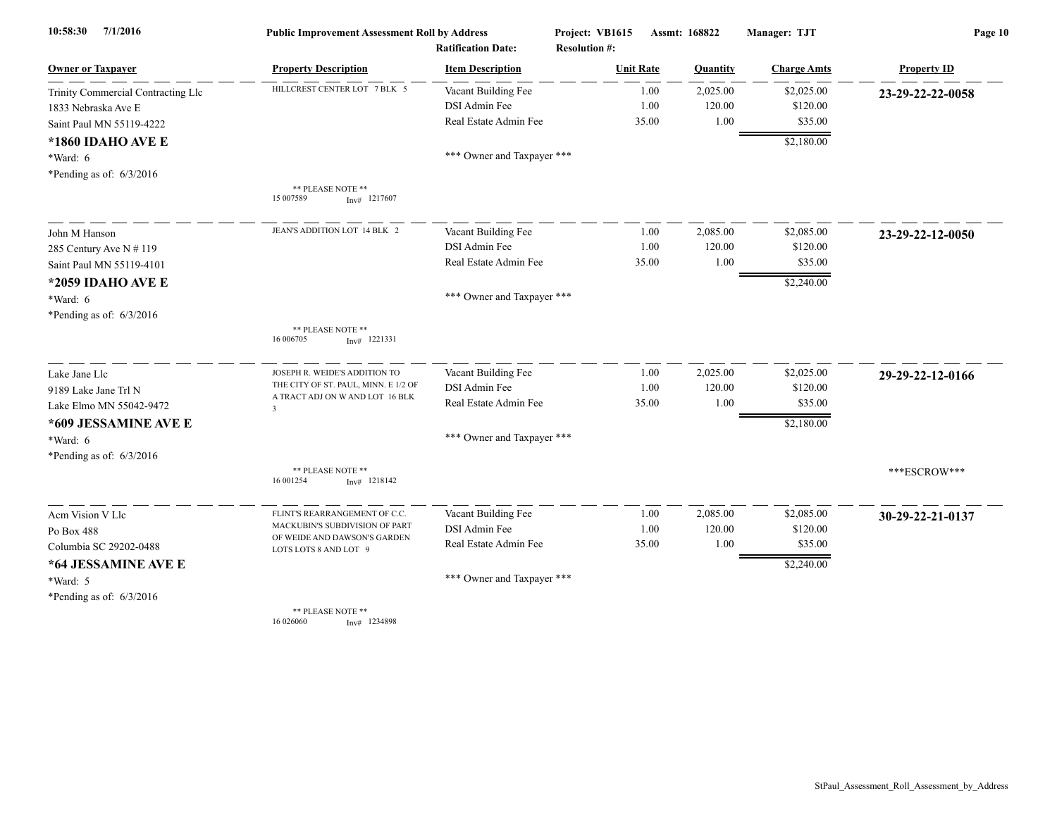| 7/1/2016<br>10:58:30                                      | <b>Public Improvement Assessment Roll by Address</b>  |                                                      | Project: VB1615                          | Assmt: 168822 |          | Manager: TJT       | Page 10            |  |
|-----------------------------------------------------------|-------------------------------------------------------|------------------------------------------------------|------------------------------------------|---------------|----------|--------------------|--------------------|--|
| <b>Owner or Taxpayer</b>                                  | <b>Property Description</b>                           | <b>Ratification Date:</b><br><b>Item Description</b> | <b>Resolution #:</b><br><b>Unit Rate</b> |               | Quantity | <b>Charge Amts</b> | <b>Property ID</b> |  |
|                                                           | HILLCREST CENTER LOT 7 BLK 5                          | Vacant Building Fee                                  |                                          | 1.00          | 2,025.00 | \$2,025.00         |                    |  |
| Trinity Commercial Contracting Llc<br>1833 Nebraska Ave E |                                                       | DSI Admin Fee                                        |                                          | 1.00          | 120.00   | \$120.00           | 23-29-22-22-0058   |  |
| Saint Paul MN 55119-4222                                  |                                                       | Real Estate Admin Fee                                |                                          | 35.00         | 1.00     | \$35.00            |                    |  |
|                                                           |                                                       |                                                      |                                          |               |          |                    |                    |  |
| *1860 IDAHO AVE E                                         |                                                       | *** Owner and Taxpayer ***                           |                                          |               |          | \$2,180.00         |                    |  |
| *Ward: 6<br>*Pending as of: $6/3/2016$                    |                                                       |                                                      |                                          |               |          |                    |                    |  |
|                                                           | ** PLEASE NOTE **<br>15 007589<br>$Inv#$ 1217607      |                                                      |                                          |               |          |                    |                    |  |
|                                                           |                                                       |                                                      |                                          |               |          |                    |                    |  |
| John M Hanson                                             | JEAN'S ADDITION LOT 14 BLK 2                          | Vacant Building Fee                                  |                                          | 1.00          | 2,085.00 | \$2,085.00         | 23-29-22-12-0050   |  |
| 285 Century Ave N # 119                                   |                                                       | DSI Admin Fee                                        |                                          | 1.00          | 120.00   | \$120.00           |                    |  |
| Saint Paul MN 55119-4101                                  |                                                       | Real Estate Admin Fee                                |                                          | 35.00         | 1.00     | \$35.00            |                    |  |
| *2059 IDAHO AVE E                                         |                                                       |                                                      |                                          |               |          | \$2,240.00         |                    |  |
| *Ward: 6                                                  |                                                       | *** Owner and Taxpayer ***                           |                                          |               |          |                    |                    |  |
| *Pending as of: $6/3/2016$                                |                                                       |                                                      |                                          |               |          |                    |                    |  |
|                                                           | ** PLEASE NOTE **<br>16 006705<br>$Inv#$ 1221331      |                                                      |                                          |               |          |                    |                    |  |
| Lake Jane Llc                                             | JOSEPH R. WEIDE'S ADDITION TO                         | Vacant Building Fee                                  |                                          | 1.00          | 2,025.00 | \$2,025.00         | 29-29-22-12-0166   |  |
| 9189 Lake Jane Trl N                                      | THE CITY OF ST. PAUL, MINN. E 1/2 OF                  | DSI Admin Fee                                        |                                          | 1.00          | 120.00   | \$120.00           |                    |  |
| Lake Elmo MN 55042-9472                                   | A TRACT ADJ ON W AND LOT 16 BLK<br>$\overline{3}$     | Real Estate Admin Fee                                |                                          | 35.00         | 1.00     | \$35.00            |                    |  |
| *609 JESSAMINE AVE E                                      |                                                       |                                                      |                                          |               |          | \$2,180.00         |                    |  |
| *Ward: 6                                                  |                                                       | *** Owner and Taxpayer ***                           |                                          |               |          |                    |                    |  |
| *Pending as of: $6/3/2016$                                |                                                       |                                                      |                                          |               |          |                    |                    |  |
|                                                           | ** PLEASE NOTE **<br>16 001254<br>$Inv#$ 1218142      |                                                      |                                          |               |          |                    | ***ESCROW***       |  |
| Acm Vision V Llc                                          | FLINT'S REARRANGEMENT OF C.C.                         | Vacant Building Fee                                  |                                          | 1.00          | 2,085.00 | \$2,085.00         | 30-29-22-21-0137   |  |
| Po Box $488\,$                                            | MACKUBIN'S SUBDIVISION OF PART                        | DSI Admin Fee                                        |                                          | 1.00          | 120.00   | \$120.00           |                    |  |
| Columbia SC 29202-0488                                    | OF WEIDE AND DAWSON'S GARDEN<br>LOTS LOTS 8 AND LOT 9 | Real Estate Admin Fee                                | 35.00                                    |               | 1.00     | \$35.00            |                    |  |
| *64 JESSAMINE AVE E                                       |                                                       |                                                      |                                          |               |          | \$2,240.00         |                    |  |
| *Ward: 5                                                  |                                                       | *** Owner and Taxpayer ***                           |                                          |               |          |                    |                    |  |
| *Pending as of: $6/3/2016$                                |                                                       |                                                      |                                          |               |          |                    |                    |  |
|                                                           | ** PLEASE NOTE **<br>16 026060<br>$Inv#$ 1234898      |                                                      |                                          |               |          |                    |                    |  |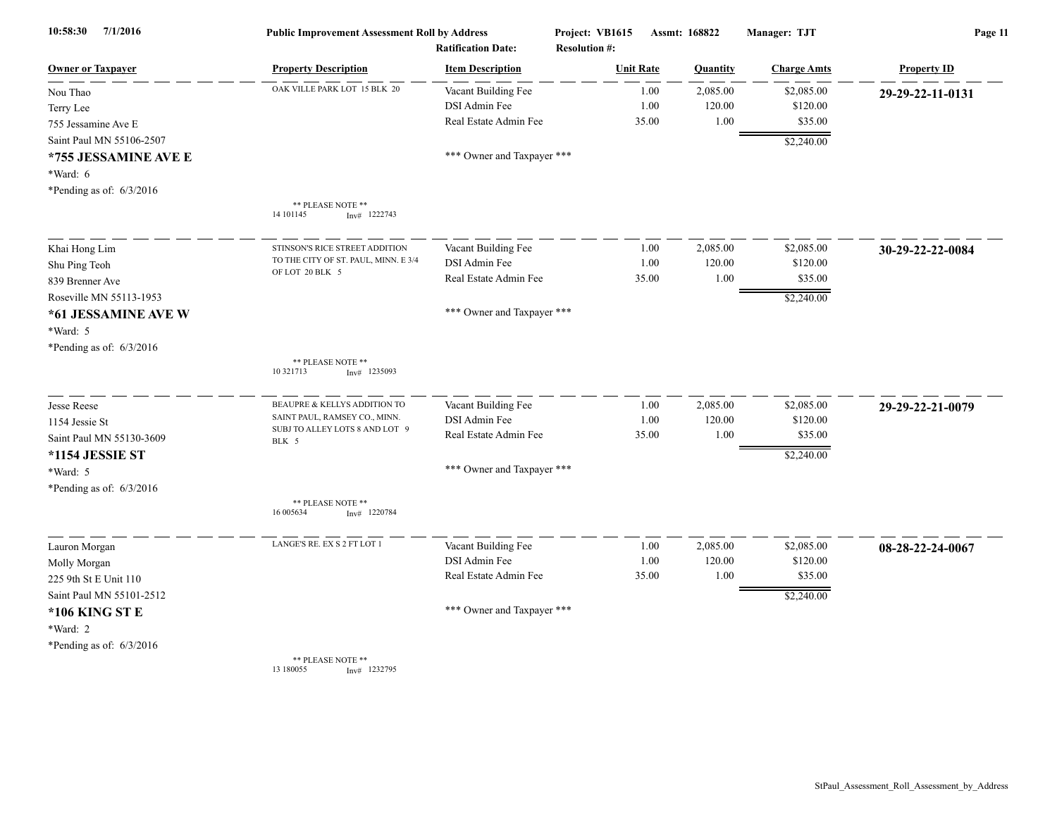| 10:58:30<br>7/1/2016       | <b>Public Improvement Assessment Roll by Address</b><br><b>Ratification Date:</b> |                            | Project: VB1615<br><b>Resolution #:</b> | Assmt: 168822   |                    | Page 11            |  |
|----------------------------|-----------------------------------------------------------------------------------|----------------------------|-----------------------------------------|-----------------|--------------------|--------------------|--|
| <b>Owner or Taxpayer</b>   | <b>Property Description</b>                                                       | <b>Item Description</b>    | <b>Unit Rate</b>                        | <b>Quantity</b> | <b>Charge Amts</b> | <b>Property ID</b> |  |
| Nou Thao                   | OAK VILLE PARK LOT 15 BLK 20                                                      | Vacant Building Fee        | 1.00                                    | 2,085.00        | \$2,085.00         | 29-29-22-11-0131   |  |
| Terry Lee                  |                                                                                   | DSI Admin Fee              | 1.00                                    | 120.00          | \$120.00           |                    |  |
| 755 Jessamine Ave E        |                                                                                   | Real Estate Admin Fee      | 35.00                                   | 1.00            | \$35.00            |                    |  |
| Saint Paul MN 55106-2507   |                                                                                   |                            |                                         |                 | \$2,240.00         |                    |  |
| *755 JESSAMINE AVE E       |                                                                                   | *** Owner and Taxpayer *** |                                         |                 |                    |                    |  |
| *Ward: 6                   |                                                                                   |                            |                                         |                 |                    |                    |  |
| *Pending as of: $6/3/2016$ |                                                                                   |                            |                                         |                 |                    |                    |  |
|                            | ** PLEASE NOTE **<br>14 10 1145<br>$Inv#$ 1222743                                 |                            |                                         |                 |                    |                    |  |
| Khai Hong Lim              | STINSON'S RICE STREET ADDITION                                                    | Vacant Building Fee        | 1.00                                    | 2,085.00        | \$2,085.00         | 30-29-22-22-0084   |  |
| Shu Ping Teoh              | TO THE CITY OF ST. PAUL, MINN. E 3/4                                              | DSI Admin Fee              | 1.00                                    | 120.00          | \$120.00           |                    |  |
| 839 Brenner Ave            | OF LOT 20 BLK 5                                                                   | Real Estate Admin Fee      | 35.00                                   | 1.00            | \$35.00            |                    |  |
| Roseville MN 55113-1953    |                                                                                   |                            |                                         |                 | \$2,240.00         |                    |  |
| *61 JESSAMINE AVE W        |                                                                                   | *** Owner and Taxpayer *** |                                         |                 |                    |                    |  |
| *Ward: 5                   |                                                                                   |                            |                                         |                 |                    |                    |  |
| *Pending as of: $6/3/2016$ |                                                                                   |                            |                                         |                 |                    |                    |  |
|                            | ** PLEASE NOTE **<br>10 321713<br>$Inv#$ 1235093                                  |                            |                                         |                 |                    |                    |  |
| <b>Jesse Reese</b>         | BEAUPRE & KELLYS ADDITION TO                                                      | Vacant Building Fee        | 1.00                                    | 2,085.00        | \$2,085.00         | 29-29-22-21-0079   |  |
| 1154 Jessie St             | SAINT PAUL, RAMSEY CO., MINN.                                                     | DSI Admin Fee              | 1.00                                    | 120.00          | \$120.00           |                    |  |
| Saint Paul MN 55130-3609   | SUBJ TO ALLEY LOTS 8 AND LOT 9<br>BLK 5                                           | Real Estate Admin Fee      | 35.00                                   | 1.00            | \$35.00            |                    |  |
| *1154 JESSIE ST            |                                                                                   |                            |                                         |                 | \$2,240.00         |                    |  |
| *Ward: 5                   |                                                                                   | *** Owner and Taxpayer *** |                                         |                 |                    |                    |  |
| *Pending as of: $6/3/2016$ |                                                                                   |                            |                                         |                 |                    |                    |  |
|                            | ** PLEASE NOTE **<br>16 00 5634<br>Inv#<br>1220784                                |                            |                                         |                 |                    |                    |  |
| Lauron Morgan              | LANGE'S RE. EX S 2 FT LOT 1                                                       | Vacant Building Fee        | 1.00                                    | 2,085.00        | \$2,085.00         | 08-28-22-24-0067   |  |
| Molly Morgan               |                                                                                   | DSI Admin Fee              | 1.00                                    | 120.00          | \$120.00           |                    |  |
| 225 9th St E Unit 110      |                                                                                   | Real Estate Admin Fee      | 35.00                                   | 1.00            | \$35.00            |                    |  |
| Saint Paul MN 55101-2512   |                                                                                   |                            |                                         |                 | \$2,240.00         |                    |  |
| *106 KING ST E             |                                                                                   | *** Owner and Taxpayer *** |                                         |                 |                    |                    |  |
| *Ward: 2                   |                                                                                   |                            |                                         |                 |                    |                    |  |
| *Pending as of: $6/3/2016$ |                                                                                   |                            |                                         |                 |                    |                    |  |
|                            | ** PLEASE NOTE **                                                                 |                            |                                         |                 |                    |                    |  |

13 180055 Inv# 1232795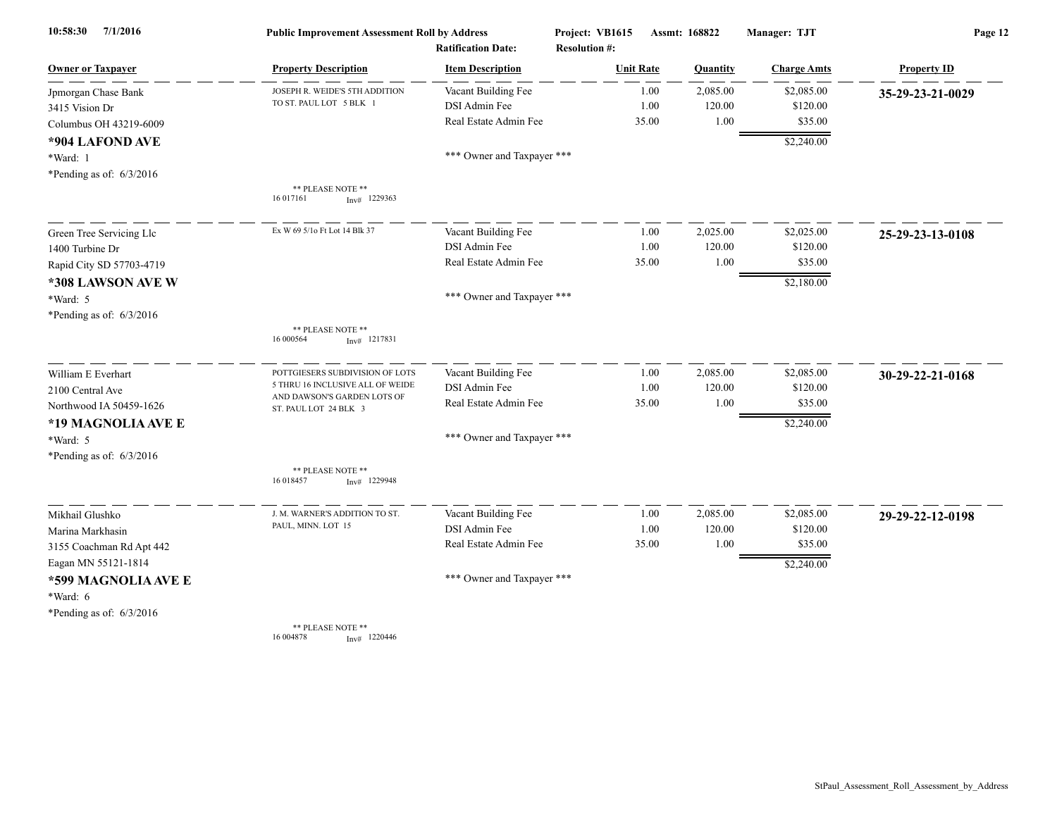| 7/1/2016<br>10:58:30       | <b>Public Improvement Assessment Roll by Address</b><br><b>Ratification Date:</b> |                            | Project: VB1615<br><b>Resolution #:</b> | Assmt: 168822 |          | Manager: TJT       | Page 12            |  |
|----------------------------|-----------------------------------------------------------------------------------|----------------------------|-----------------------------------------|---------------|----------|--------------------|--------------------|--|
| <b>Owner or Taxpayer</b>   | <b>Property Description</b>                                                       | <b>Item Description</b>    | <b>Unit Rate</b>                        |               | Quantity | <b>Charge Amts</b> | <b>Property ID</b> |  |
| Jpmorgan Chase Bank        | JOSEPH R. WEIDE'S 5TH ADDITION                                                    | Vacant Building Fee        |                                         | 1.00          | 2,085.00 | \$2,085.00         | 35-29-23-21-0029   |  |
| 3415 Vision Dr             | TO ST. PAUL LOT 5 BLK 1                                                           | DSI Admin Fee              |                                         | 1.00          | 120.00   | \$120.00           |                    |  |
| Columbus OH 43219-6009     |                                                                                   | Real Estate Admin Fee      | 35.00                                   |               | 1.00     | \$35.00            |                    |  |
| *904 LAFOND AVE            |                                                                                   |                            |                                         |               |          | \$2,240.00         |                    |  |
| *Ward: 1                   |                                                                                   | *** Owner and Taxpayer *** |                                         |               |          |                    |                    |  |
| *Pending as of: $6/3/2016$ |                                                                                   |                            |                                         |               |          |                    |                    |  |
|                            | ** PLEASE NOTE **<br>16 017161<br>$Inv#$ 1229363                                  |                            |                                         |               |          |                    |                    |  |
| Green Tree Servicing Llc   | Ex W 69 5/10 Ft Lot 14 Blk 37                                                     | Vacant Building Fee        |                                         | 1.00          | 2,025.00 | \$2,025.00         | 25-29-23-13-0108   |  |
| 1400 Turbine Dr            |                                                                                   | DSI Admin Fee              |                                         | 1.00          | 120.00   | \$120.00           |                    |  |
| Rapid City SD 57703-4719   |                                                                                   | Real Estate Admin Fee      | 35.00                                   |               | 1.00     | \$35.00            |                    |  |
| *308 LAWSON AVE W          |                                                                                   |                            |                                         |               |          | \$2,180.00         |                    |  |
| *Ward: 5                   |                                                                                   | *** Owner and Taxpayer *** |                                         |               |          |                    |                    |  |
| *Pending as of: $6/3/2016$ |                                                                                   |                            |                                         |               |          |                    |                    |  |
|                            | ** PLEASE NOTE **<br>16 000564<br>$Inv#$ 1217831                                  |                            |                                         |               |          |                    |                    |  |
| William E Everhart         | POTTGIESERS SUBDIVISION OF LOTS                                                   | Vacant Building Fee        |                                         | 1.00          | 2,085.00 | \$2,085.00         | 30-29-22-21-0168   |  |
| 2100 Central Ave           | 5 THRU 16 INCLUSIVE ALL OF WEIDE<br>AND DAWSON'S GARDEN LOTS OF                   | DSI Admin Fee              |                                         | 1.00          | 120.00   | \$120.00           |                    |  |
| Northwood IA 50459-1626    | ST. PAUL LOT 24 BLK 3                                                             | Real Estate Admin Fee      | 35.00                                   |               | 1.00     | \$35.00            |                    |  |
| *19 MAGNOLIA AVE E         |                                                                                   |                            |                                         |               |          | \$2,240.00         |                    |  |
| *Ward: 5                   |                                                                                   | *** Owner and Taxpayer *** |                                         |               |          |                    |                    |  |
| *Pending as of: $6/3/2016$ |                                                                                   |                            |                                         |               |          |                    |                    |  |
|                            | ** PLEASE NOTE **<br>16 018457<br>$Inv#$ 1229948                                  |                            |                                         |               |          |                    |                    |  |
| Mikhail Glushko            | J. M. WARNER'S ADDITION TO ST.                                                    | Vacant Building Fee        |                                         | 1.00          | 2,085.00 | \$2,085.00         | 29-29-22-12-0198   |  |
| Marina Markhasin           | PAUL, MINN. LOT 15                                                                | DSI Admin Fee              |                                         | 1.00          | 120.00   | \$120.00           |                    |  |
| 3155 Coachman Rd Apt 442   |                                                                                   | Real Estate Admin Fee      | 35.00                                   |               | 1.00     | \$35.00            |                    |  |
| Eagan MN 55121-1814        |                                                                                   |                            |                                         |               |          | \$2,240.00         |                    |  |
| *599 MAGNOLIA AVE E        |                                                                                   | *** Owner and Taxpayer *** |                                         |               |          |                    |                    |  |
| *Ward: 6                   |                                                                                   |                            |                                         |               |          |                    |                    |  |
| *Pending as of: $6/3/2016$ |                                                                                   |                            |                                         |               |          |                    |                    |  |
|                            | ** PLEASE NOTE **<br>16 004878<br>$Inv#$ 1220446                                  |                            |                                         |               |          |                    |                    |  |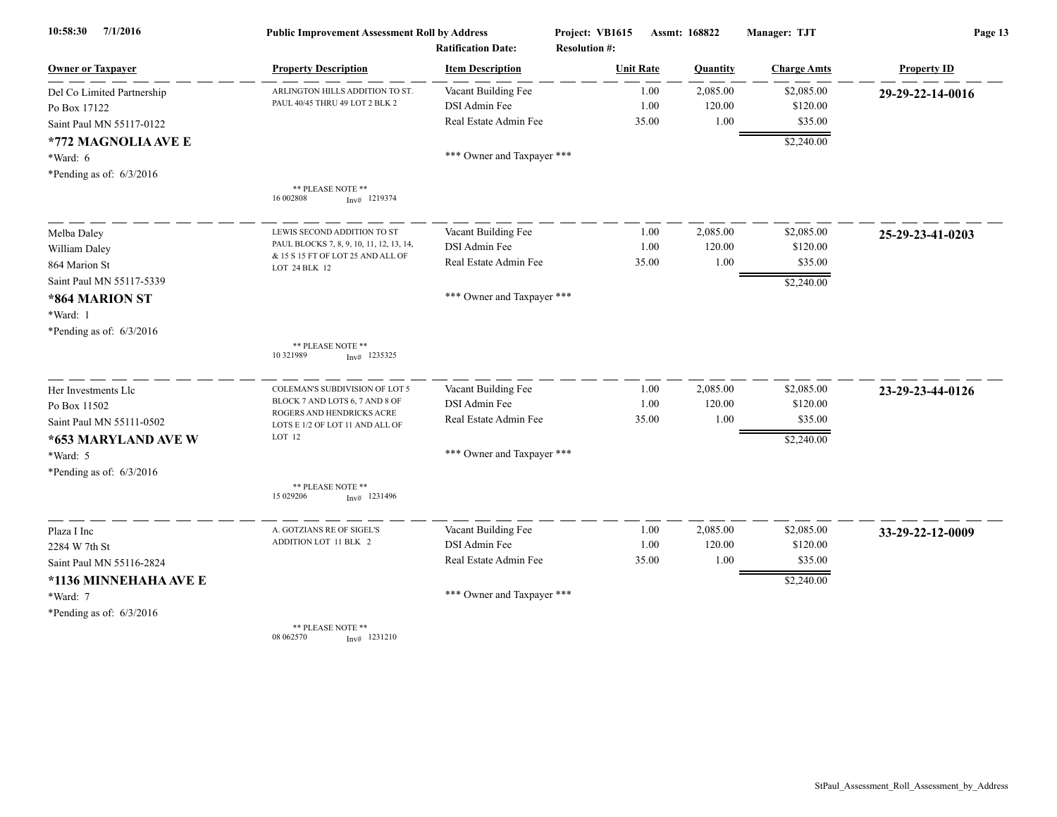| 7/1/2016<br>10:58:30       | <b>Public Improvement Assessment Roll by Address</b><br><b>Ratification Date:</b> |                            | Project: VB1615<br><b>Resolution #:</b> | Assmt: 168822 |          | Manager: TJT       | Page 13            |  |
|----------------------------|-----------------------------------------------------------------------------------|----------------------------|-----------------------------------------|---------------|----------|--------------------|--------------------|--|
| <b>Owner or Taxpayer</b>   | <b>Property Description</b>                                                       | <b>Item Description</b>    | <b>Unit Rate</b>                        |               | Quantity | <b>Charge Amts</b> | <b>Property ID</b> |  |
| Del Co Limited Partnership | ARLINGTON HILLS ADDITION TO ST.                                                   | Vacant Building Fee        |                                         | 1.00          | 2,085.00 | \$2,085.00         | 29-29-22-14-0016   |  |
| Po Box 17122               | PAUL 40/45 THRU 49 LOT 2 BLK 2                                                    | DSI Admin Fee              |                                         | 1.00          | 120.00   | \$120.00           |                    |  |
| Saint Paul MN 55117-0122   |                                                                                   | Real Estate Admin Fee      |                                         | 35.00         | 1.00     | \$35.00            |                    |  |
| *772 MAGNOLIA AVE E        |                                                                                   |                            |                                         |               |          | \$2,240.00         |                    |  |
| *Ward: 6                   |                                                                                   | *** Owner and Taxpayer *** |                                         |               |          |                    |                    |  |
| *Pending as of: $6/3/2016$ |                                                                                   |                            |                                         |               |          |                    |                    |  |
|                            | ** PLEASE NOTE **<br>16 002808<br>$Inv#$ 1219374                                  |                            |                                         |               |          |                    |                    |  |
| Melba Daley                | LEWIS SECOND ADDITION TO ST                                                       | Vacant Building Fee        |                                         | 1.00          | 2,085.00 | \$2,085.00         | 25-29-23-41-0203   |  |
| William Daley              | PAUL BLOCKS 7, 8, 9, 10, 11, 12, 13, 14,                                          | DSI Admin Fee              |                                         | 1.00          | 120.00   | \$120.00           |                    |  |
| 864 Marion St              | & 15 S 15 FT OF LOT 25 AND ALL OF<br>LOT 24 BLK 12                                | Real Estate Admin Fee      |                                         | 35.00         | 1.00     | \$35.00            |                    |  |
| Saint Paul MN 55117-5339   |                                                                                   |                            |                                         |               |          | \$2,240.00         |                    |  |
| *864 MARION ST             |                                                                                   | *** Owner and Taxpayer *** |                                         |               |          |                    |                    |  |
| *Ward: 1                   |                                                                                   |                            |                                         |               |          |                    |                    |  |
| *Pending as of: $6/3/2016$ |                                                                                   |                            |                                         |               |          |                    |                    |  |
|                            | ** PLEASE NOTE **<br>10 32 1989<br>$Inv#$ 1235325                                 |                            |                                         |               |          |                    |                    |  |
| Her Investments Llc        | COLEMAN'S SUBDIVISION OF LOT 5                                                    | Vacant Building Fee        |                                         | 1.00          | 2,085.00 | \$2,085.00         | 23-29-23-44-0126   |  |
| Po Box 11502               | BLOCK 7 AND LOTS 6, 7 AND 8 OF<br>ROGERS AND HENDRICKS ACRE                       | DSI Admin Fee              |                                         | 1.00          | 120.00   | \$120.00           |                    |  |
| Saint Paul MN 55111-0502   | LOTS E 1/2 OF LOT 11 AND ALL OF                                                   | Real Estate Admin Fee      |                                         | 35.00         | 1.00     | \$35.00            |                    |  |
| *653 MARYLAND AVE W        | LOT 12                                                                            |                            |                                         |               |          | \$2,240.00         |                    |  |
| *Ward: 5                   |                                                                                   | *** Owner and Taxpayer *** |                                         |               |          |                    |                    |  |
| *Pending as of: $6/3/2016$ |                                                                                   |                            |                                         |               |          |                    |                    |  |
|                            | ** PLEASE NOTE **<br>15 029206<br>$Inv#$ 1231496                                  |                            |                                         |               |          |                    |                    |  |
| Plaza I Inc                | A. GOTZIANS RE OF SIGEL'S                                                         | Vacant Building Fee        |                                         | 1.00          | 2,085.00 | \$2,085.00         | 33-29-22-12-0009   |  |
| 2284 W 7th St              | ADDITION LOT 11 BLK 2                                                             | DSI Admin Fee              |                                         | 1.00          | 120.00   | \$120.00           |                    |  |
| Saint Paul MN 55116-2824   |                                                                                   | Real Estate Admin Fee      |                                         | 35.00         | 1.00     | \$35.00            |                    |  |
| *1136 MINNEHAHA AVE E      |                                                                                   |                            |                                         |               |          | \$2,240.00         |                    |  |
| *Ward: 7                   |                                                                                   | *** Owner and Taxpayer *** |                                         |               |          |                    |                    |  |
| *Pending as of: $6/3/2016$ |                                                                                   |                            |                                         |               |          |                    |                    |  |
|                            | ** PLEASE NOTE **<br>08 062570<br>$Inv#$ 1231210                                  |                            |                                         |               |          |                    |                    |  |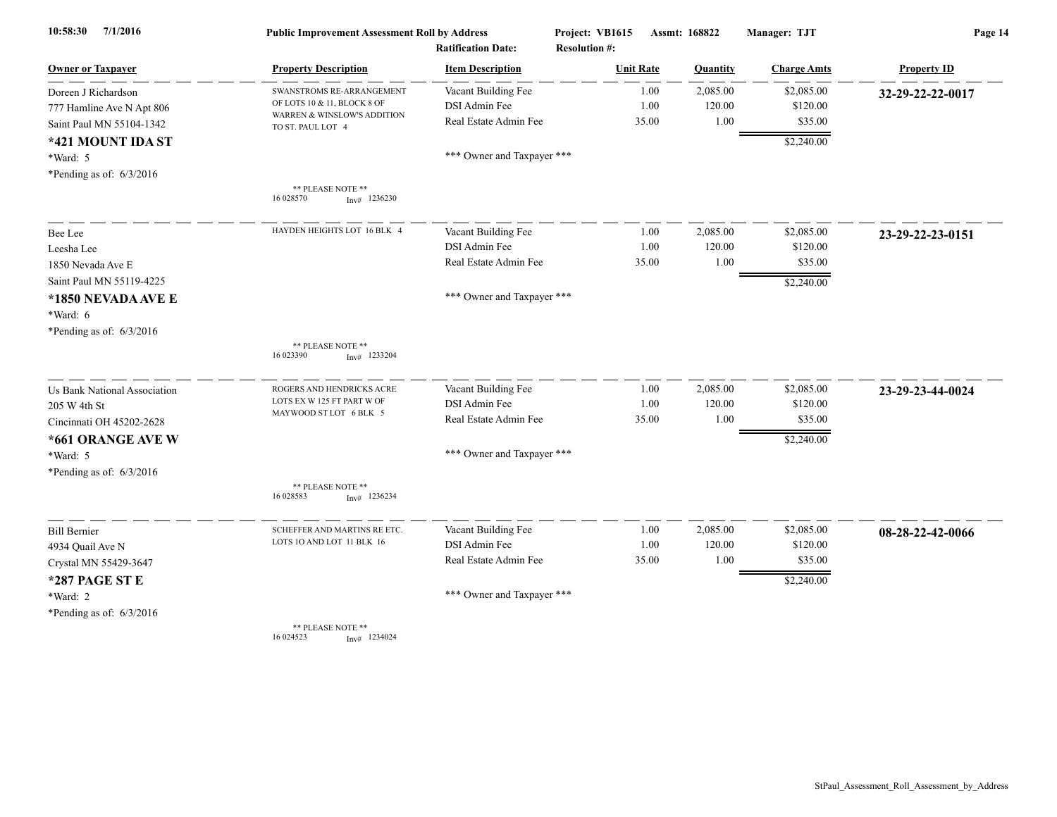| 7/1/2016<br>10:58:30         | <b>Public Improvement Assessment Roll by Address</b><br><b>Ratification Date:</b> |                            | Project: VB1615<br><b>Resolution #:</b> | Assmt: 168822 |          | Manager: TJT       | Page 14            |  |
|------------------------------|-----------------------------------------------------------------------------------|----------------------------|-----------------------------------------|---------------|----------|--------------------|--------------------|--|
| <b>Owner or Taxpayer</b>     | <b>Property Description</b>                                                       | <b>Item Description</b>    | <b>Unit Rate</b>                        |               | Quantity | <b>Charge Amts</b> | <b>Property ID</b> |  |
| Doreen J Richardson          | SWANSTROMS RE-ARRANGEMENT                                                         | Vacant Building Fee        |                                         | 1.00          | 2,085.00 | \$2,085.00         | 32-29-22-22-0017   |  |
| 777 Hamline Ave N Apt 806    | OF LOTS 10 & 11, BLOCK 8 OF<br>WARREN & WINSLOW'S ADDITION                        | DSI Admin Fee              |                                         | 1.00          | 120.00   | \$120.00           |                    |  |
| Saint Paul MN 55104-1342     | TO ST. PAUL LOT 4                                                                 | Real Estate Admin Fee      |                                         | 35.00         | 1.00     | \$35.00            |                    |  |
| *421 MOUNT IDA ST            |                                                                                   |                            |                                         |               |          | \$2,240.00         |                    |  |
| *Ward: 5                     |                                                                                   | *** Owner and Taxpayer *** |                                         |               |          |                    |                    |  |
| *Pending as of: $6/3/2016$   |                                                                                   |                            |                                         |               |          |                    |                    |  |
|                              | ** PLEASE NOTE **<br>16 028570<br>$Inv#$ 1236230                                  |                            |                                         |               |          |                    |                    |  |
| Bee Lee                      | HAYDEN HEIGHTS LOT 16 BLK 4                                                       | Vacant Building Fee        |                                         | 1.00          | 2,085.00 | \$2,085.00         | 23-29-22-23-0151   |  |
| Leesha Lee                   |                                                                                   | DSI Admin Fee              |                                         | 1.00          | 120.00   | \$120.00           |                    |  |
| 1850 Nevada Ave E            |                                                                                   | Real Estate Admin Fee      |                                         | 35.00         | 1.00     | \$35.00            |                    |  |
| Saint Paul MN 55119-4225     |                                                                                   |                            |                                         |               |          | \$2,240.00         |                    |  |
| *1850 NEVADA AVE E           |                                                                                   | *** Owner and Taxpayer *** |                                         |               |          |                    |                    |  |
| *Ward: 6                     |                                                                                   |                            |                                         |               |          |                    |                    |  |
| *Pending as of: $6/3/2016$   |                                                                                   |                            |                                         |               |          |                    |                    |  |
|                              | ** PLEASE NOTE **<br>16 023390<br>$Inv#$ 1233204                                  |                            |                                         |               |          |                    |                    |  |
| Us Bank National Association | ROGERS AND HENDRICKS ACRE                                                         | Vacant Building Fee        |                                         | 1.00          | 2,085.00 | \$2,085.00         | 23-29-23-44-0024   |  |
| 205 W 4th St                 | LOTS EX W 125 FT PART W OF<br>MAYWOOD ST LOT 6 BLK 5                              | DSI Admin Fee              |                                         | 1.00          | 120.00   | \$120.00           |                    |  |
| Cincinnati OH 45202-2628     |                                                                                   | Real Estate Admin Fee      |                                         | 35.00         | 1.00     | \$35.00            |                    |  |
| *661 ORANGE AVE W            |                                                                                   |                            |                                         |               |          | \$2,240.00         |                    |  |
| *Ward: 5                     |                                                                                   | *** Owner and Taxpayer *** |                                         |               |          |                    |                    |  |
| *Pending as of: $6/3/2016$   |                                                                                   |                            |                                         |               |          |                    |                    |  |
|                              | ** PLEASE NOTE **<br>16 028583<br>$Inv#$ 1236234                                  |                            |                                         |               |          |                    |                    |  |
| <b>Bill Bernier</b>          | SCHEFFER AND MARTINS RE ETC.                                                      | Vacant Building Fee        |                                         | 1.00          | 2,085.00 | \$2,085.00         | 08-28-22-42-0066   |  |
| 4934 Quail Ave N             | LOTS 10 AND LOT 11 BLK 16                                                         | DSI Admin Fee              |                                         | 1.00          | 120.00   | \$120.00           |                    |  |
| Crystal MN 55429-3647        |                                                                                   | Real Estate Admin Fee      |                                         | 35.00         | 1.00     | \$35.00            |                    |  |
| *287 PAGE ST E               |                                                                                   |                            |                                         |               |          | \$2,240.00         |                    |  |
| *Ward: 2                     |                                                                                   | *** Owner and Taxpayer *** |                                         |               |          |                    |                    |  |
| *Pending as of: $6/3/2016$   |                                                                                   |                            |                                         |               |          |                    |                    |  |
|                              | ** PLEASE NOTE **<br>16 024523<br>$Inv#$ 1234024                                  |                            |                                         |               |          |                    |                    |  |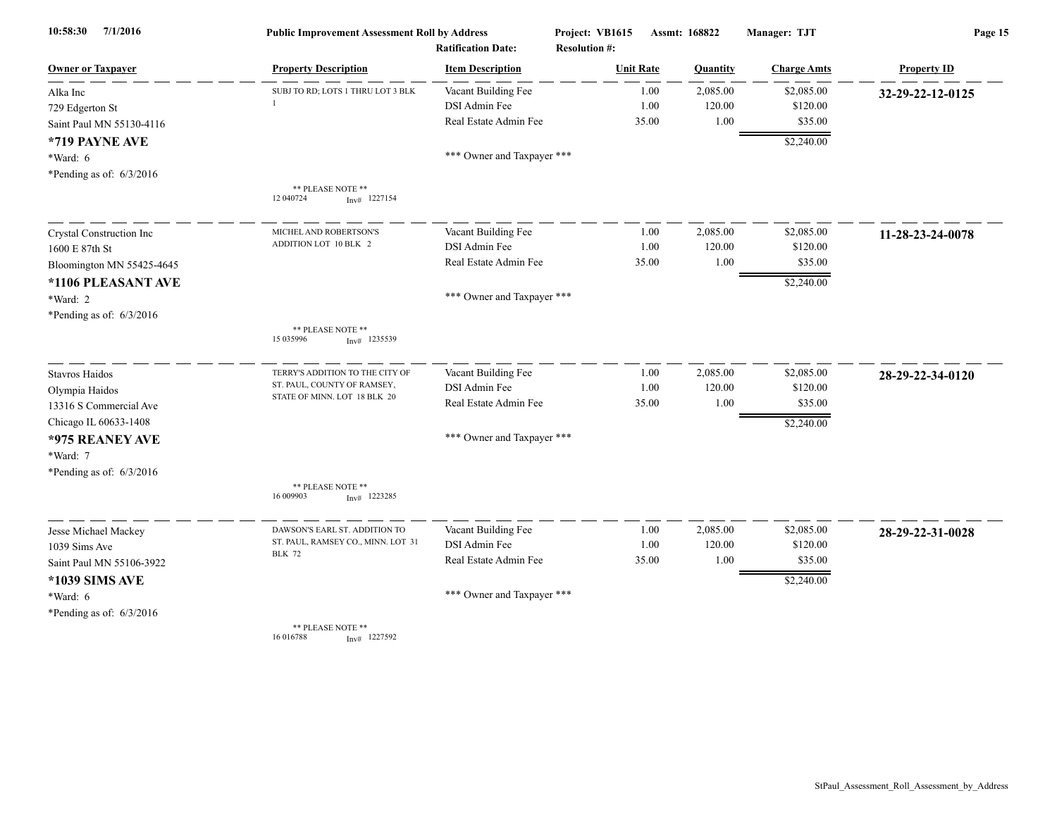| 7/1/2016<br>10:58:30       | <b>Public Improvement Assessment Roll by Address</b> |                                                      | Project: VB1615                          | Assmt: 168822 |          | Manager: TJT       | Page 15            |  |
|----------------------------|------------------------------------------------------|------------------------------------------------------|------------------------------------------|---------------|----------|--------------------|--------------------|--|
| <b>Owner or Taxpayer</b>   | <b>Property Description</b>                          | <b>Ratification Date:</b><br><b>Item Description</b> | <b>Resolution #:</b><br><b>Unit Rate</b> |               | Quantity | <b>Charge Amts</b> | <b>Property ID</b> |  |
| Alka Inc                   | SUBJ TO RD; LOTS 1 THRU LOT 3 BLK                    | Vacant Building Fee                                  |                                          | 1.00          | 2,085.00 | \$2,085.00         | 32-29-22-12-0125   |  |
| 729 Edgerton St            |                                                      | DSI Admin Fee                                        |                                          | 1.00          | 120.00   | \$120.00           |                    |  |
| Saint Paul MN 55130-4116   |                                                      | Real Estate Admin Fee                                |                                          | 35.00         | 1.00     | \$35.00            |                    |  |
| *719 PAYNE AVE             |                                                      |                                                      |                                          |               |          | \$2,240.00         |                    |  |
| *Ward: 6                   |                                                      | *** Owner and Taxpayer ***                           |                                          |               |          |                    |                    |  |
| *Pending as of: $6/3/2016$ |                                                      |                                                      |                                          |               |          |                    |                    |  |
|                            | ** PLEASE NOTE **<br>12 040724<br>$Inv#$ 1227154     |                                                      |                                          |               |          |                    |                    |  |
| Crystal Construction Inc   | MICHEL AND ROBERTSON'S                               | Vacant Building Fee                                  |                                          | 1.00          | 2,085.00 | \$2,085.00         | 11-28-23-24-0078   |  |
| 1600 E 87th St             | ADDITION LOT 10 BLK 2                                | DSI Admin Fee                                        |                                          | 1.00          | 120.00   | \$120.00           |                    |  |
| Bloomington MN 55425-4645  |                                                      | Real Estate Admin Fee                                |                                          | 35.00         | 1.00     | \$35.00            |                    |  |
| *1106 PLEASANT AVE         |                                                      |                                                      |                                          |               |          | \$2,240.00         |                    |  |
| *Ward: 2                   |                                                      | *** Owner and Taxpayer ***                           |                                          |               |          |                    |                    |  |
| *Pending as of: $6/3/2016$ |                                                      |                                                      |                                          |               |          |                    |                    |  |
|                            | ** PLEASE NOTE **<br>15 035996<br>$Inv#$ 1235539     |                                                      |                                          |               |          |                    |                    |  |
| <b>Stavros Haidos</b>      | TERRY'S ADDITION TO THE CITY OF                      | Vacant Building Fee                                  |                                          | 1.00          | 2,085.00 | \$2,085.00         | 28-29-22-34-0120   |  |
| Olympia Haidos             | ST. PAUL, COUNTY OF RAMSEY,                          | DSI Admin Fee                                        |                                          | 1.00          | 120.00   | \$120.00           |                    |  |
| 13316 S Commercial Ave     | STATE OF MINN. LOT 18 BLK 20                         | Real Estate Admin Fee                                |                                          | 35.00         | 1.00     | \$35.00            |                    |  |
| Chicago IL 60633-1408      |                                                      |                                                      |                                          |               |          | \$2,240.00         |                    |  |
| *975 REANEY AVE            |                                                      | *** Owner and Taxpayer ***                           |                                          |               |          |                    |                    |  |
| *Ward: 7                   |                                                      |                                                      |                                          |               |          |                    |                    |  |
| *Pending as of: $6/3/2016$ |                                                      |                                                      |                                          |               |          |                    |                    |  |
|                            | ** PLEASE NOTE **<br>16 009903<br>$Inv#$ 1223285     |                                                      |                                          |               |          |                    |                    |  |
| Jesse Michael Mackey       | DAWSON'S EARL ST. ADDITION TO                        | Vacant Building Fee                                  |                                          | 1.00          | 2,085.00 | \$2,085.00         | 28-29-22-31-0028   |  |
| 1039 Sims Ave              | ST. PAUL, RAMSEY CO., MINN. LOT 31                   | DSI Admin Fee                                        |                                          | 1.00          | 120.00   | \$120.00           |                    |  |
| Saint Paul MN 55106-3922   | <b>BLK 72</b>                                        | Real Estate Admin Fee                                |                                          | 35.00         | 1.00     | \$35.00            |                    |  |
| *1039 SIMS AVE             |                                                      |                                                      |                                          |               |          | \$2,240.00         |                    |  |
| *Ward: 6                   |                                                      | *** Owner and Taxpayer ***                           |                                          |               |          |                    |                    |  |
| *Pending as of: $6/3/2016$ |                                                      |                                                      |                                          |               |          |                    |                    |  |
|                            | ** PLEASE NOTE **<br>16 01 6788<br>$Inv#$ 1227592    |                                                      |                                          |               |          |                    |                    |  |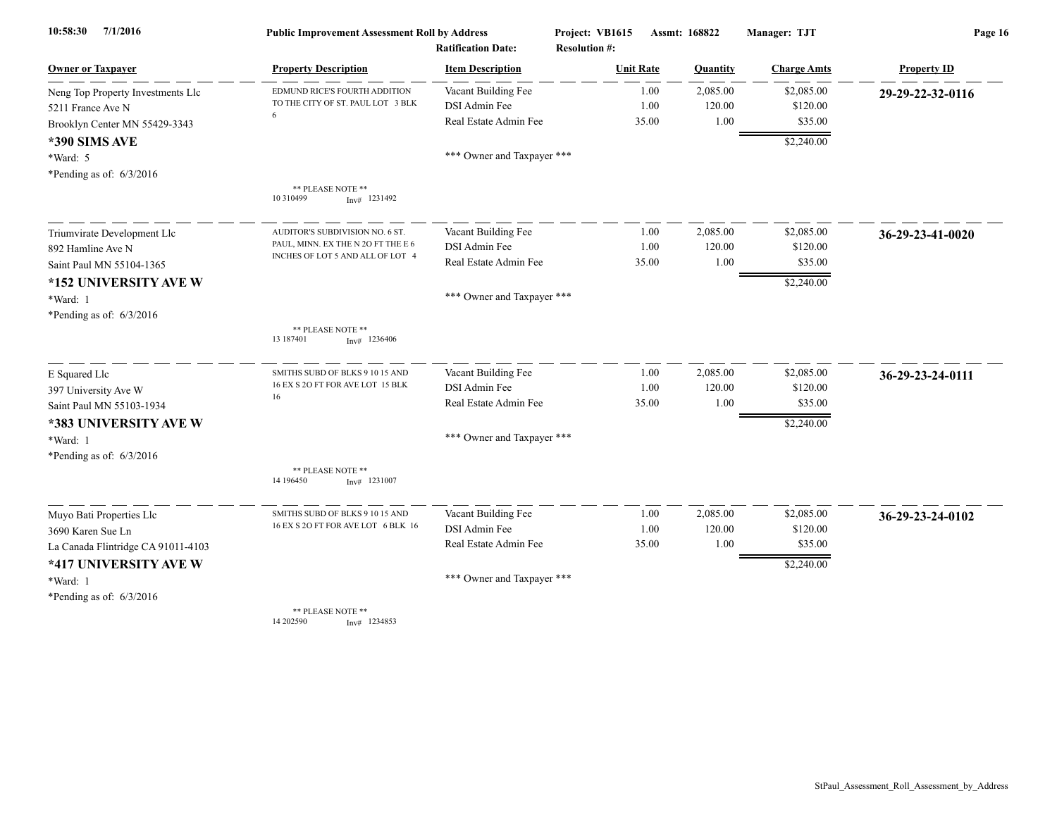| 7/1/2016<br>10:58:30               | <b>Public Improvement Assessment Roll by Address</b>               |                            | Project: VB1615      | Assmt: 168822 | Manager: TJT        | Page 16            |  |
|------------------------------------|--------------------------------------------------------------------|----------------------------|----------------------|---------------|---------------------|--------------------|--|
|                                    |                                                                    | <b>Ratification Date:</b>  | <b>Resolution #:</b> |               |                     |                    |  |
| <b>Owner or Taxpayer</b>           | <b>Property Description</b>                                        | <b>Item Description</b>    | <b>Unit Rate</b>     | Quantity      | <b>Charge Amts</b>  | <b>Property ID</b> |  |
| Neng Top Property Investments Llc  | EDMUND RICE'S FOURTH ADDITION<br>TO THE CITY OF ST. PAUL LOT 3 BLK | Vacant Building Fee        | 1.00                 | 2,085.00      | \$2,085.00          | 29-29-22-32-0116   |  |
| 5211 France Ave N                  | 6                                                                  | DSI Admin Fee              | 1.00                 | 120.00        | \$120.00<br>\$35.00 |                    |  |
| Brooklyn Center MN 55429-3343      |                                                                    | Real Estate Admin Fee      | 35.00                | 1.00          |                     |                    |  |
| <b>*390 SIMS AVE</b>               |                                                                    |                            |                      |               | \$2,240.00          |                    |  |
| *Ward: 5                           |                                                                    | *** Owner and Taxpayer *** |                      |               |                     |                    |  |
| *Pending as of: $6/3/2016$         |                                                                    |                            |                      |               |                     |                    |  |
|                                    | ** PLEASE NOTE **<br>10 310499<br>$Inv#$ 1231492                   |                            |                      |               |                     |                    |  |
| Triumvirate Development Llc        | AUDITOR'S SUBDIVISION NO. 6 ST.                                    | Vacant Building Fee        | 1.00                 | 2,085.00      | \$2,085.00          | 36-29-23-41-0020   |  |
| 892 Hamline Ave N                  | PAUL, MINN. EX THE N 2O FT THE E 6                                 | DSI Admin Fee              | 1.00                 | 120.00        | \$120.00            |                    |  |
| Saint Paul MN 55104-1365           | INCHES OF LOT 5 AND ALL OF LOT 4                                   | Real Estate Admin Fee      | 35.00                | 1.00          | \$35.00             |                    |  |
| *152 UNIVERSITY AVE W              |                                                                    |                            |                      |               | \$2,240.00          |                    |  |
| *Ward: 1                           |                                                                    | *** Owner and Taxpayer *** |                      |               |                     |                    |  |
| *Pending as of: 6/3/2016           |                                                                    |                            |                      |               |                     |                    |  |
|                                    | ** PLEASE NOTE **<br>13 187401<br>$Inv#$ 1236406                   |                            |                      |               |                     |                    |  |
| E Squared Llc                      | SMITHS SUBD OF BLKS 9 10 15 AND                                    | Vacant Building Fee        | 1.00                 | 2,085.00      | \$2,085.00          | 36-29-23-24-0111   |  |
| 397 University Ave W               | 16 EX S 2O FT FOR AVE LOT 15 BLK                                   | DSI Admin Fee              | 1.00                 | 120.00        | \$120.00            |                    |  |
| Saint Paul MN 55103-1934           | 16                                                                 | Real Estate Admin Fee      | 35.00                | 1.00          | \$35.00             |                    |  |
| *383 UNIVERSITY AVE W              |                                                                    |                            |                      |               | \$2,240.00          |                    |  |
| *Ward: 1                           |                                                                    | *** Owner and Taxpayer *** |                      |               |                     |                    |  |
| *Pending as of: $6/3/2016$         |                                                                    |                            |                      |               |                     |                    |  |
|                                    | ** PLEASE NOTE **<br>14 196450<br>$Inv#$ 1231007                   |                            |                      |               |                     |                    |  |
| Muyo Bati Properties Llc           | SMITHS SUBD OF BLKS 9 10 15 AND                                    | Vacant Building Fee        | 1.00                 | 2,085.00      | \$2,085.00          | 36-29-23-24-0102   |  |
| 3690 Karen Sue Ln                  | 16 EX S 2O FT FOR AVE LOT 6 BLK 16                                 | DSI Admin Fee              | 1.00                 | 120.00        | \$120.00            |                    |  |
| La Canada Flintridge CA 91011-4103 |                                                                    | Real Estate Admin Fee      | 35.00                | 1.00          | \$35.00             |                    |  |
| *417 UNIVERSITY AVE W              |                                                                    |                            |                      |               | \$2,240.00          |                    |  |
| *Ward: 1                           |                                                                    | *** Owner and Taxpayer *** |                      |               |                     |                    |  |
| *Pending as of: $6/3/2016$         |                                                                    |                            |                      |               |                     |                    |  |
|                                    | ** PLEASE NOTE **<br>14 202590<br>$Inv#$ 1234853                   |                            |                      |               |                     |                    |  |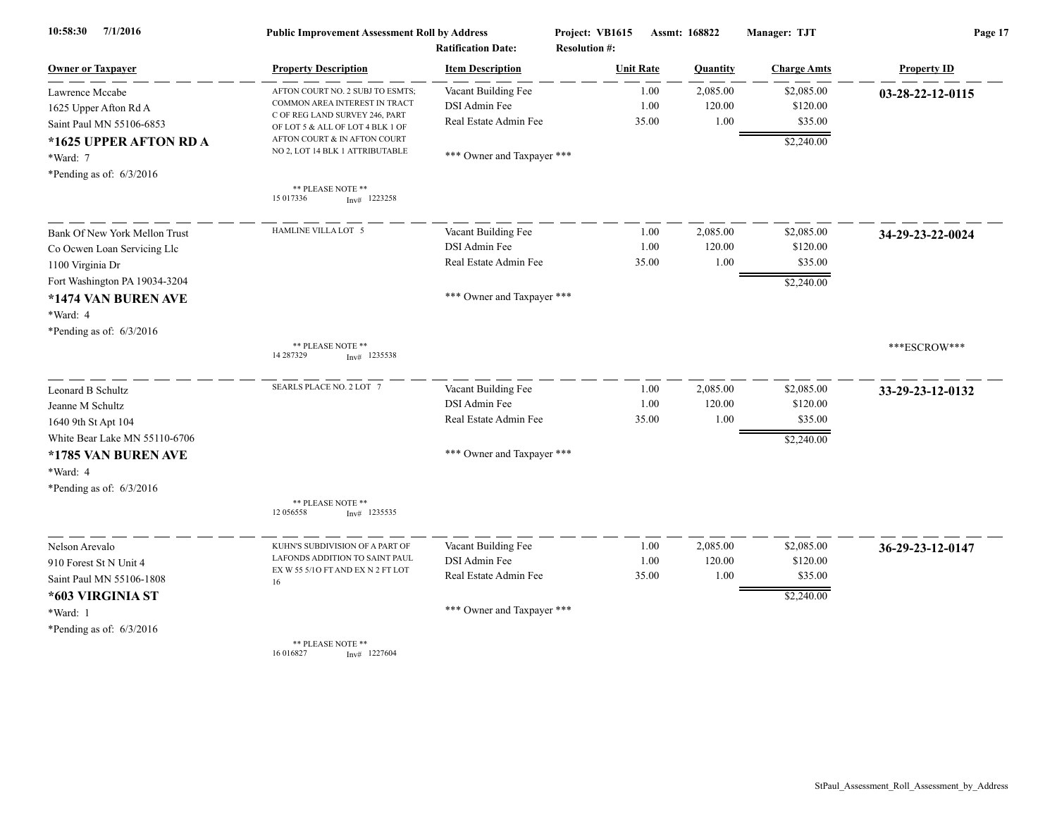| 7/1/2016<br>10:58:30          | <b>Public Improvement Assessment Roll by Address</b>               |                                                      | Project: VB1615                          | Assmt: 168822 |          | Manager: TJT       | Page 17            |  |
|-------------------------------|--------------------------------------------------------------------|------------------------------------------------------|------------------------------------------|---------------|----------|--------------------|--------------------|--|
| <b>Owner or Taxpayer</b>      | <b>Property Description</b>                                        | <b>Ratification Date:</b><br><b>Item Description</b> | <b>Resolution #:</b><br><b>Unit Rate</b> |               | Quantity | <b>Charge Amts</b> | <b>Property ID</b> |  |
| Lawrence Mccabe               | AFTON COURT NO. 2 SUBJ TO ESMTS;                                   | Vacant Building Fee                                  |                                          | 1.00          | 2,085.00 | \$2,085.00         | 03-28-22-12-0115   |  |
| 1625 Upper Afton Rd A         | COMMON AREA INTEREST IN TRACT                                      | DSI Admin Fee                                        |                                          | 1.00          | 120.00   | \$120.00           |                    |  |
| Saint Paul MN 55106-6853      | C OF REG LAND SURVEY 246, PART<br>OF LOT 5 & ALL OF LOT 4 BLK 1 OF | Real Estate Admin Fee                                | 35.00                                    |               | 1.00     | \$35.00            |                    |  |
| *1625 UPPER AFTON RD A        | AFTON COURT & IN AFTON COURT                                       |                                                      |                                          |               |          | \$2,240.00         |                    |  |
| *Ward: 7                      | NO 2, LOT 14 BLK 1 ATTRIBUTABLE                                    | *** Owner and Taxpayer ***                           |                                          |               |          |                    |                    |  |
| *Pending as of: $6/3/2016$    |                                                                    |                                                      |                                          |               |          |                    |                    |  |
|                               | ** PLEASE NOTE **<br>15 017336<br>$Inv#$ 1223258                   |                                                      |                                          |               |          |                    |                    |  |
| Bank Of New York Mellon Trust | HAMLINE VILLA LOT 5                                                | Vacant Building Fee                                  |                                          | 1.00          | 2,085.00 | \$2,085.00         | 34-29-23-22-0024   |  |
| Co Ocwen Loan Servicing Llc   |                                                                    | DSI Admin Fee                                        |                                          | 1.00          | 120.00   | \$120.00           |                    |  |
| 1100 Virginia Dr              |                                                                    | Real Estate Admin Fee                                | 35.00                                    |               | 1.00     | \$35.00            |                    |  |
| Fort Washington PA 19034-3204 |                                                                    |                                                      |                                          |               |          | \$2,240.00         |                    |  |
| *1474 VAN BUREN AVE           |                                                                    | *** Owner and Taxpayer ***                           |                                          |               |          |                    |                    |  |
| *Ward: 4                      |                                                                    |                                                      |                                          |               |          |                    |                    |  |
| *Pending as of: $6/3/2016$    |                                                                    |                                                      |                                          |               |          |                    |                    |  |
|                               | ** PLEASE NOTE **<br>14 287329<br>$Inv#$ 1235538                   |                                                      |                                          |               |          |                    | ***ESCROW***       |  |
| Leonard B Schultz             | SEARLS PLACE NO. 2 LOT 7                                           | Vacant Building Fee                                  |                                          | 1.00          | 2,085.00 | \$2,085.00         | 33-29-23-12-0132   |  |
| Jeanne M Schultz              |                                                                    | DSI Admin Fee                                        |                                          | 1.00          | 120.00   | \$120.00           |                    |  |
| 1640 9th St Apt 104           |                                                                    | Real Estate Admin Fee                                | 35.00                                    |               | 1.00     | \$35.00            |                    |  |
| White Bear Lake MN 55110-6706 |                                                                    |                                                      |                                          |               |          | \$2,240.00         |                    |  |
| *1785 VAN BUREN AVE           |                                                                    | *** Owner and Taxpayer ***                           |                                          |               |          |                    |                    |  |
| *Ward: 4                      |                                                                    |                                                      |                                          |               |          |                    |                    |  |
| *Pending as of: $6/3/2016$    |                                                                    |                                                      |                                          |               |          |                    |                    |  |
|                               | ** PLEASE NOTE **<br>12 056558<br>$Inv#$ 1235535                   |                                                      |                                          |               |          |                    |                    |  |
| Nelson Arevalo                | KUHN'S SUBDIVISION OF A PART OF                                    | Vacant Building Fee                                  |                                          | 1.00          | 2,085.00 | \$2,085.00         | 36-29-23-12-0147   |  |
| 910 Forest St N Unit 4        | LAFONDS ADDITION TO SAINT PAUL                                     | DSI Admin Fee                                        |                                          | 1.00          | 120.00   | \$120.00           |                    |  |
| Saint Paul MN 55106-1808      | EX W 55 5/10 FT AND EX N 2 FT LOT<br>16                            | Real Estate Admin Fee                                | 35.00                                    |               | 1.00     | \$35.00            |                    |  |
| *603 VIRGINIA ST              |                                                                    |                                                      |                                          |               |          | \$2,240.00         |                    |  |
| *Ward: 1                      |                                                                    | *** Owner and Taxpayer ***                           |                                          |               |          |                    |                    |  |
| *Pending as of: $6/3/2016$    |                                                                    |                                                      |                                          |               |          |                    |                    |  |
|                               | <b>** PLEASE NOTE **</b>                                           |                                                      |                                          |               |          |                    |                    |  |

\*\* PLEASE NOTE \*\* 16 016827 Inv# 1227604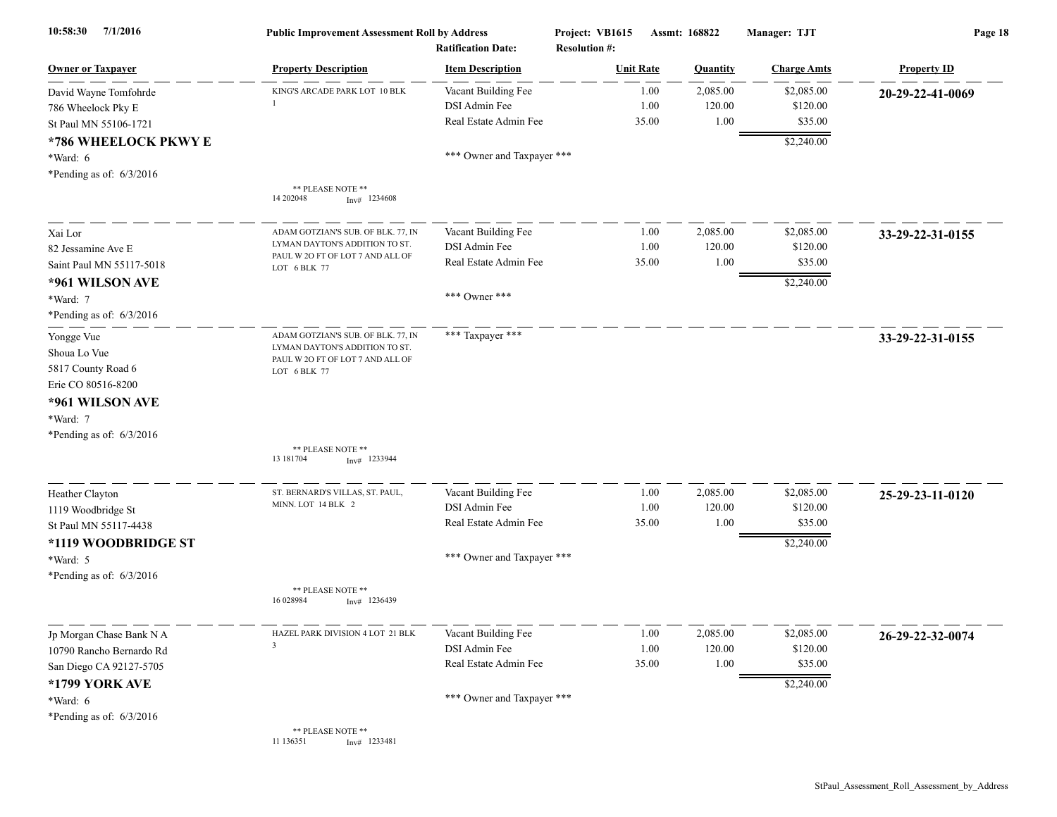| 7/1/2016<br>10:58:30                                                                                                                | <b>Public Improvement Assessment Roll by Address</b><br><b>Ratification Date:</b>                                        |                                                                                             | Project: VB1615<br>Assmt: 168822<br><b>Resolution #:</b> |                       |                            | Manager: TJT                                    | Page 18            |  |
|-------------------------------------------------------------------------------------------------------------------------------------|--------------------------------------------------------------------------------------------------------------------------|---------------------------------------------------------------------------------------------|----------------------------------------------------------|-----------------------|----------------------------|-------------------------------------------------|--------------------|--|
| <b>Owner or Taxpayer</b>                                                                                                            | <b>Property Description</b>                                                                                              | <b>Item Description</b>                                                                     | <b>Unit Rate</b>                                         |                       | <b>Quantity</b>            | <b>Charge Amts</b>                              | <b>Property ID</b> |  |
| David Wayne Tomfohrde<br>786 Wheelock Pky E<br>St Paul MN 55106-1721                                                                | KING'S ARCADE PARK LOT 10 BLK                                                                                            | Vacant Building Fee<br>DSI Admin Fee<br>Real Estate Admin Fee                               |                                                          | 1.00<br>1.00<br>35.00 | 2,085.00<br>120.00<br>1.00 | \$2,085.00<br>\$120.00<br>\$35.00               | 20-29-22-41-0069   |  |
| *786 WHEELOCK PKWY E<br>*Ward: 6<br>*Pending as of: $6/3/2016$                                                                      |                                                                                                                          | *** Owner and Taxpayer ***                                                                  |                                                          |                       |                            | \$2,240.00                                      |                    |  |
|                                                                                                                                     | ** PLEASE NOTE **<br>14 202048<br>$Inv#$ 1234608                                                                         |                                                                                             |                                                          |                       |                            |                                                 |                    |  |
| Xai Lor<br>82 Jessamine Ave E<br>Saint Paul MN 55117-5018                                                                           | ADAM GOTZIAN'S SUB. OF BLK. 77, IN<br>LYMAN DAYTON'S ADDITION TO ST.<br>PAUL W 2O FT OF LOT 7 AND ALL OF<br>LOT 6 BLK 77 | Vacant Building Fee<br>DSI Admin Fee<br>Real Estate Admin Fee                               |                                                          | 1.00<br>1.00<br>35.00 | 2,085.00<br>120.00<br>1.00 | \$2,085.00<br>\$120.00<br>\$35.00               | 33-29-22-31-0155   |  |
| *961 WILSON AVE<br>*Ward: 7<br>*Pending as of: $6/3/2016$                                                                           |                                                                                                                          | *** Owner ***                                                                               |                                                          |                       |                            | \$2,240.00                                      |                    |  |
| Yongge Vue<br>Shoua Lo Vue<br>5817 County Road 6<br>Erie CO 80516-8200<br>*961 WILSON AVE<br>*Ward: 7<br>*Pending as of: $6/3/2016$ | ADAM GOTZIAN'S SUB. OF BLK. 77, IN<br>LYMAN DAYTON'S ADDITION TO ST.<br>PAUL W 20 FT OF LOT 7 AND ALL OF<br>LOT 6 BLK 77 | *** Taxpayer ***                                                                            |                                                          |                       |                            |                                                 | 33-29-22-31-0155   |  |
|                                                                                                                                     | ** PLEASE NOTE **<br>13 18 1704<br>$Inv#$ 1233944                                                                        |                                                                                             |                                                          |                       |                            |                                                 |                    |  |
| Heather Clayton<br>1119 Woodbridge St<br>St Paul MN 55117-4438<br>*1119 WOODBRIDGE ST<br>*Ward: 5                                   | ST. BERNARD'S VILLAS, ST. PAUL,<br>MINN. LOT 14 BLK 2                                                                    | Vacant Building Fee<br>DSI Admin Fee<br>Real Estate Admin Fee<br>*** Owner and Taxpayer *** |                                                          | 1.00<br>1.00<br>35.00 | 2,085.00<br>120.00<br>1.00 | \$2,085.00<br>\$120.00<br>\$35.00<br>\$2,240.00 | 25-29-23-11-0120   |  |
| *Pending as of: $6/3/2016$                                                                                                          | ** PLEASE NOTE **<br>16 028984<br>$Inv#$ 1236439                                                                         |                                                                                             |                                                          |                       |                            |                                                 |                    |  |
| Jp Morgan Chase Bank N A<br>10790 Rancho Bernardo Rd<br>San Diego CA 92127-5705<br>*1799 YORK AVE<br>*Ward: 6                       | HAZEL PARK DIVISION 4 LOT 21 BLK<br>3                                                                                    | Vacant Building Fee<br>DSI Admin Fee<br>Real Estate Admin Fee<br>*** Owner and Taxpayer *** |                                                          | 1.00<br>1.00<br>35.00 | 2,085.00<br>120.00<br>1.00 | \$2,085.00<br>\$120.00<br>\$35.00<br>\$2,240.00 | 26-29-22-32-0074   |  |
| *Pending as of: $6/3/2016$                                                                                                          | ** PLEASE NOTE **<br>11 136351<br>$Inv#$ 1233481                                                                         |                                                                                             |                                                          |                       |                            |                                                 |                    |  |

StPaul\_Assessment\_Roll\_Assessment\_by\_Address